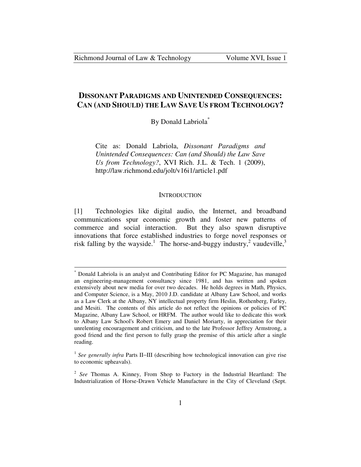-

# **DISSONANT PARADIGMS AND UNINTENDED CONSEQUENCES: CAN (AND SHOULD) THE LAW SAVE US FROM TECHNOLOGY?**

By Donald Labriola\*

Cite as: Donald Labriola, *Dissonant Paradigms and Unintended Consequences: Can (and Should) the Law Save Us from Technology?*, XVI Rich. J.L. & Tech. 1 (2009), http://law.richmond.edu/jolt/v16i1/article1.pdf

#### **INTRODUCTION**

[1] Technologies like digital audio, the Internet, and broadband communications spur economic growth and foster new patterns of commerce and social interaction. But they also spawn disruptive innovations that force established industries to forge novel responses or risk falling by the wayside.<sup>1</sup> The horse-and-buggy industry,<sup>2</sup> vaudeville,<sup>3</sup>

<sup>\*</sup> Donald Labriola is an analyst and Contributing Editor for PC Magazine, has managed an engineering-management consultancy since 1981, and has written and spoken extensively about new media for over two decades. He holds degrees in Math, Physics, and Computer Science, is a May, 2010 J.D. candidate at Albany Law School, and works as a Law Clerk at the Albany, NY intellectual property firm Heslin, Rothenberg, Farley, and Mesiti. The contents of this article do not reflect the opinions or policies of PC Magazine, Albany Law School, or HRFM. The author would like to dedicate this work to Albany Law School's Robert Emery and Daniel Moriarty, in appreciation for their unrelenting encouragement and criticism, and to the late Professor Jeffrey Armstrong, a good friend and the first person to fully grasp the premise of this article after a single reading.

<sup>1</sup> *See generally infra* Parts II−III (describing how technological innovation can give rise to economic upheavals).

<sup>2</sup> *See* Thomas A. Kinney, From Shop to Factory in the Industrial Heartland: The Industrialization of Horse-Drawn Vehicle Manufacture in the City of Cleveland (Sept.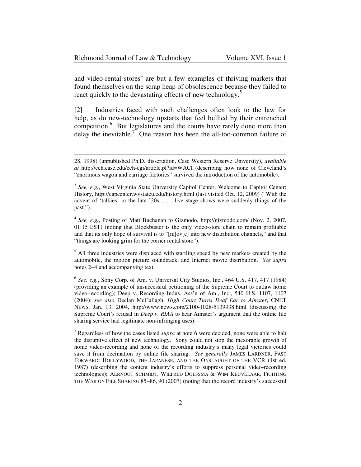| Richmond Journal of Law & Technology | Volume XVI, Issue 1 |
|--------------------------------------|---------------------|
|--------------------------------------|---------------------|

and video-rental stores<sup>4</sup> are but a few examples of thriving markets that found themselves on the scrap heap of obsolescence because they failed to react quickly to the devastating effects of new technology.<sup>5</sup>

[2] Industries faced with such challenges often look to the law for help, as do new-technology upstarts that feel bullied by their entrenched competition.<sup>6</sup> But legislatures and the courts have rarely done more than delay the inevitable.<sup>7</sup> One reason has been the all-too-common failure of

<sup>28, 1998) (</sup>unpublished Ph.D. dissertation, Case Western Reserve University), *available at* http://ech.case.edu/ech-cgi/article.pl?id=WACI (describing how none of Cleveland's "enormous wagon and carriage factories" survived the introduction of the automobile).

<sup>&</sup>lt;sup>3</sup> See, e.g., West Virginia State University Capitol Center, Welcome to Capitol Center: History, http://capcenter.wvstateu.edu/history.html (last visited Oct. 12, 2009) ("With the advent of 'talkies' in the late '20s, . . . live stage shows were suddenly things of the past.").

<sup>4</sup> *See, e.g.*, Posting of Matt Buchanan to Gizmodo, http://gizmodo.com/ (Nov. 2, 2007, 01:15 EST) (noting that Blockbuster is the only video-store chain to remain profitable and that its only hope of survival is to "[m]ov[e] into new distribution channels," and that "things are looking grim for the corner rental store").

<sup>&</sup>lt;sup>5</sup> All three industries were displaced with startling speed by new markets created by the automobile, the motion picture soundtrack, and Internet movie distribution. *See supra* notes 2−4 and accompanying text.

<sup>6</sup> *See, e.g.*, Sony Corp. of Am. v. Universal City Studios, Inc., 464 U.S. 417, 417 (1984) (providing an example of unsuccessful petitioning of the Supreme Court to outlaw home video-recording); Deep v. Recording Indus. Ass'n of Am., Inc., 540 U.S. 1107, 1107 (2004); *see also* Declan McCullagh, *High Court Turns Deaf Ear to Aimster*, CNET NEWS, Jan. 13, 2004, http://www.news.com/2100-1028-5139938.html (discussing the Supreme Court's refusal in *Deep v. RIAA* to hear Aimster's argument that the online file sharing service had legitimate non-infringing uses).

<sup>7</sup> Regardless of how the cases listed *supra* at note 6 were decided, none were able to halt the disruptive effect of new technology. Sony could not stop the inexorable growth of home video-recording and none of the recording industry's many legal victories could save it from decimation by online file sharing. *See generally* JAMES LARDNER, FAST FORWARD: HOLLYWOOD, THE JAPANESE, AND THE ONSLAUGHT OF THE VCR (1st ed. 1987) (describing the content industry's efforts to suppress personal video-recording technologies); AERNOUT SCHMIDT, WILFRED DOLFSMA & WIM KEUVELAAR, FIGHTING THE WAR ON FILE SHARING 85−86, 90 (2007) (noting that the record industry's successful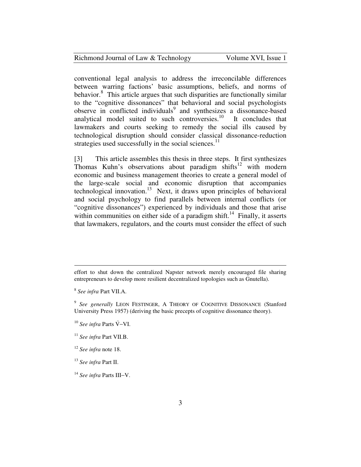| Richmond Journal of Law & Technology | Volume XVI, Issue 1 |
|--------------------------------------|---------------------|
|--------------------------------------|---------------------|

conventional legal analysis to address the irreconcilable differences between warring factions' basic assumptions, beliefs, and norms of behavior.<sup>8</sup> This article argues that such disparities are functionally similar to the "cognitive dissonances" that behavioral and social psychologists observe in conflicted individuals<sup>9</sup> and synthesizes a dissonance-based analytical model suited to such controversies. $10$  It concludes that lawmakers and courts seeking to remedy the social ills caused by technological disruption should consider classical dissonance-reduction strategies used successfully in the social sciences.<sup>11</sup>

[3] This article assembles this thesis in three steps. It first synthesizes Thomas Kuhn's observations about paradigm shifts<sup>12</sup> with modern economic and business management theories to create a general model of the large-scale social and economic disruption that accompanies technological innovation.<sup>13</sup> Next, it draws upon principles of behavioral and social psychology to find parallels between internal conflicts (or "cognitive dissonances") experienced by individuals and those that arise within communities on either side of a paradigm shift.<sup>14</sup> Finally, it asserts that lawmakers, regulators, and the courts must consider the effect of such

effort to shut down the centralized Napster network merely encouraged file sharing entrepreneurs to develop more resilient decentralized topologies such as Gnutella).

<sup>8</sup> *See infra* Part VII.A.

<sup>&</sup>lt;sup>9</sup> See generally LEON FESTINGER, A THEORY OF COGNITIVE DISSONANCE (Stanford University Press 1957) (deriving the basic precepts of cognitive dissonance theory).

<sup>&</sup>lt;sup>10</sup> See infra Parts V<sup>−</sup>VI.

<sup>11</sup> *See infra* Part VII.B.

<sup>12</sup> *See infra* note 18.

<sup>13</sup> *See infra* Part II.

<sup>14</sup> *See infra* Parts III−V.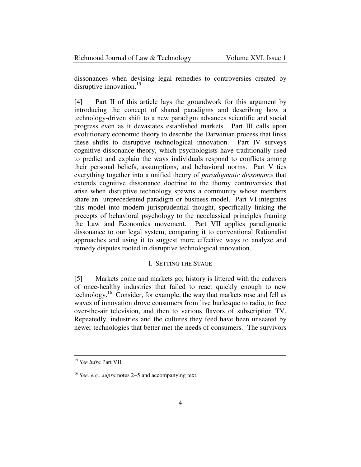| Richmond Journal of Law & Technology | Volume XVI, Issue 1 |
|--------------------------------------|---------------------|
|--------------------------------------|---------------------|

dissonances when devising legal remedies to controversies created by disruptive innovation.<sup>15</sup>

[4] Part II of this article lays the groundwork for this argument by introducing the concept of shared paradigms and describing how a technology-driven shift to a new paradigm advances scientific and social progress even as it devastates established markets. Part III calls upon evolutionary economic theory to describe the Darwinian process that links these shifts to disruptive technological innovation. Part IV surveys cognitive dissonance theory, which psychologists have traditionally used to predict and explain the ways individuals respond to conflicts among their personal beliefs, assumptions, and behavioral norms. Part V ties everything together into a unified theory of *paradigmatic dissonance* that extends cognitive dissonance doctrine to the thorny controversies that arise when disruptive technology spawns a community whose members share an unprecedented paradigm or business model. Part VI integrates this model into modern jurisprudential thought, specifically linking the precepts of behavioral psychology to the neoclassical principles framing the Law and Economics movement. Part VII applies paradigmatic dissonance to our legal system, comparing it to conventional Rationalist approaches and using it to suggest more effective ways to analyze and remedy disputes rooted in disruptive technological innovation.

## I. SETTING THE STAGE

[5] Markets come and markets go; history is littered with the cadavers of once-healthy industries that failed to react quickly enough to new technology.<sup>16</sup> Consider, for example, the way that markets rose and fell as waves of innovation drove consumers from live burlesque to radio, to free over-the-air television, and then to various flavors of subscription TV. Repeatedly, industries and the cultures they feed have been unseated by newer technologies that better met the needs of consumers. The survivors

<sup>15</sup> *See infra* Part VII.

<sup>16</sup> *See, e.g.*, *supra* notes 2−5 and accompanying text.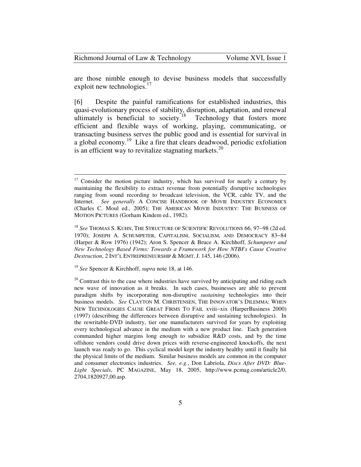| Richmond Journal of Law & Technology |  |  |  |
|--------------------------------------|--|--|--|
|--------------------------------------|--|--|--|

are those nimble enough to devise business models that successfully exploit new technologies.<sup>17</sup>

[6] Despite the painful ramifications for established industries, this quasi-evolutionary process of stability, disruption, adaptation, and renewal ultimately is beneficial to society.<sup>18</sup> Technology that fosters more efficient and flexible ways of working, playing, communicating, or transacting business serves the public good and is essential for survival in a global economy.<sup>19</sup> Like a fire that clears deadwood, periodic exfoliation is an efficient way to revitalize stagnating markets.<sup>20</sup>

<sup>19</sup> *See* Spencer & Kirchhoff, *supra* note 18, at 146.

 $17$  Consider the motion picture industry, which has survived for nearly a century by maintaining the flexibility to extract revenue from potentially disruptive technologies ranging from sound recording to broadcast television, the VCR, cable TV, and the Internet. *See generally* A CONCISE HANDBOOK OF MOVIE INDUSTRY ECONOMICS (Charles C. Moul ed., 2005); THE AMERICAN MOVIE INDUSTRY: THE BUSINESS OF MOTION PICTURES (Gorham Kindem ed., 1982).

<sup>18</sup> *See* THOMAS S. KUHN, THE STRUCTURE OF SCIENTIFIC REVOLUTIONS 66, 97−98 (2d ed. 1970); JOSEPH A. SCHUMPETER, CAPITALISM, SOCIALISM, AND DEMOCRACY 83−84 (Harper & Row 1976) (1942); Aron S. Spencer & Bruce A. Kirchhoff, *Schumpeter and New Technology Based Firms: Towards a Framework for How NTBFs Cause Creative Destruction*, 2 INT'L ENTREPRENEURSHIP & MGMT. J. 145, 146 (2006).

 $20$  Contrast this to the case where industries have survived by anticipating and riding each new wave of innovation as it breaks. In such cases, businesses are able to prevent paradigm shifts by incorporating non-disruptive *sustaining* technologies into their business models. *See* CLAYTON M. CHRISTENSEN, THE INNOVATOR'S DILEMMA: WHEN NEW TECHNOLOGIES CAUSE GREAT FIRMS TO FAIL xviii−xix (HarperBusiness 2000) (1997) (describing the differences between disruptive and sustaining technologies). In the rewritable-DVD industry, tier one manufacturers survived for years by exploiting every technological advance in the medium with a new product line. Each generation commanded higher margins long enough to subsidize R&D costs, and by the time offshore vendors could drive down prices with reverse-engineered knockoffs, the next launch was ready to go. This cyclical model kept the industry healthy until it finally hit the physical limits of the medium. Similar business models are common in the computer and consumer electronics industries. *See, e.g.*, Don Labriola, *Discs After DVD: Blue-Light Specials*, PC MAGAZINE, May 18, 2005, http://www.pcmag.com/article2/0, 2704,1820927,00.asp.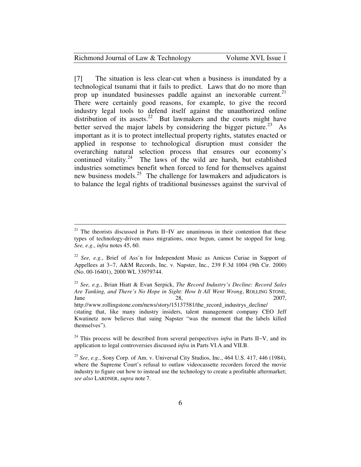| Richmond Journal of Law & Technology<br>Volume XVI, Issue 1 |  |
|-------------------------------------------------------------|--|
|-------------------------------------------------------------|--|

[7] The situation is less clear-cut when a business is inundated by a technological tsunami that it fails to predict. Laws that do no more than prop up inundated businesses paddle against an inexorable current.<sup>21</sup> There were certainly good reasons, for example, to give the record industry legal tools to defend itself against the unauthorized online distribution of its assets.<sup>22</sup> But lawmakers and the courts might have better served the major labels by considering the bigger picture.<sup>23</sup> As important as it is to protect intellectual property rights, statutes enacted or applied in response to technological disruption must consider the overarching natural selection process that ensures our economy's continued vitality.<sup>24</sup> The laws of the wild are harsh, but established industries sometimes benefit when forced to fend for themselves against new business models.<sup>25</sup> The challenge for lawmakers and adjudicators is to balance the legal rights of traditional businesses against the survival of

<sup>&</sup>lt;sup>21</sup> The theorists discussed in Parts II–IV are unanimous in their contention that these types of technology-driven mass migrations, once begun, cannot be stopped for long. *See, e.g.*, *infra* notes 45, 60.

<sup>22</sup> *See, e.g.*, Brief of Ass'n for Independent Music as Amicus Curiae in Support of Appellees at 3−7, A&M Records, Inc. v. Napster, Inc., 239 F.3d 1004 (9th Cir. 2000) (No. 00-16401), 2000 WL 33979744.

<sup>23</sup> *See, e.g.*, Brian Hiatt & Evan Serpick, *The Record Industry's Decline: Record Sales Are Tanking, and There's No Hope in Sight: How It All Went Wrong*, ROLLING STONE,  $\mu$  June 28, 2007,

http://www.rollingstone.com/news/story/15137581/the\_record\_industrys\_decline/ (stating that, like many industry insiders, talent management company CEO Jeff Kwatinetz now believes that suing Napster "was the moment that the labels killed themselves").

<sup>&</sup>lt;sup>24</sup> This process will be described from several perspectives *infra* in Parts II–V, and its application to legal controversies discussed *infra* in Parts VI.A and VII.B.

<sup>25</sup> *See, e.g.*, Sony Corp. of Am. v. Universal City Studios, Inc., 464 U.S. 417, 446 (1984), where the Supreme Court's refusal to outlaw videocassette recorders forced the movie industry to figure out how to instead use the technology to create a profitable aftermarket; *see also* LARDNER, *supra* note 7.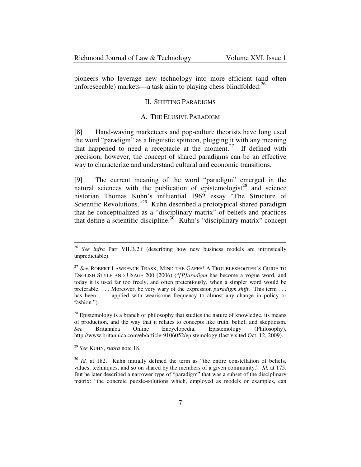pioneers who leverage new technology into more efficient (and often unforeseeable) markets—a task akin to playing chess blindfolded.<sup>26</sup>

### II. SHIFTING PARADIGMS

### A. THE ELUSIVE PARADIGM

[8] Hand-waving marketeers and pop-culture theorists have long used the word "paradigm" as a linguistic spittoon, plugging it with any meaning that happened to need a receptacle at the moment.<sup>27</sup> If defined with precision, however, the concept of shared paradigms can be an effective way to characterize and understand cultural and economic transitions.

[9] The current meaning of the word "paradigm" emerged in the natural sciences with the publication of epistemologist<sup>28</sup> and science historian Thomas Kuhn's influential 1962 essay "The Structure of Scientific Revolutions."<sup>29</sup> Kuhn described a prototypical shared paradigm that he conceptualized as a "disciplinary matrix" of beliefs and practices that define a scientific discipline.<sup>30</sup> Kuhn's "disciplinary matrix" concept

<sup>26</sup> *See infra* Part VII.B.2.f (describing how new business models are intrinsically unpredictable).

<sup>&</sup>lt;sup>27</sup> See ROBERT LAWRENCE TRASK, MIND THE GAFFE! A TROUBLESHOOTER'S GUIDE TO ENGLISH STYLE AND USAGE 200 (2006) ("*[P]aradigm* has become a vogue word, and today it is used far too freely, and often pretentiously, when a simpler word would be preferable. . . . Moreover, be very wary of the expression *paradigm shift*. This term . . . has been . . . applied with wearisome frequency to almost any change in policy or fashion.").

 $28$  Epistemology is a branch of philosophy that studies the nature of knowledge, its means of production, and the way that it relates to concepts like truth, belief, and skepticism. *See* Britannica Online Encyclopedia, Epistemology (Philosophy), http://www.britannica.com/eb/article-9106052/epistemology (last visited Oct. 12, 2009).

<sup>29</sup> *See* KUHN, *supra* note 18.

<sup>&</sup>lt;sup>30</sup> *Id.* at 182. Kuhn initially defined the term as "the entire constellation of beliefs, values, techniques, and so on shared by the members of a given community." *Id.* at 175. But he later described a narrower type of "paradigm" that was a subset of the disciplinary matrix: "the concrete puzzle-solutions which, employed as models or examples, can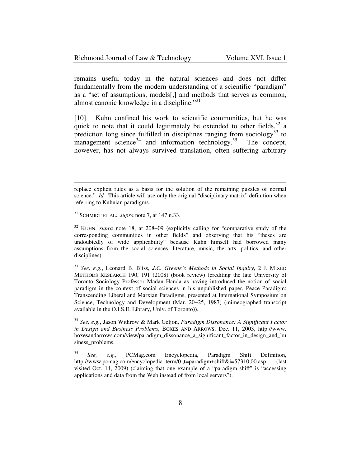| Richmond Journal of Law & Technology | Volume XVI, Issue 1 |
|--------------------------------------|---------------------|
|--------------------------------------|---------------------|

remains useful today in the natural sciences and does not differ fundamentally from the modern understanding of a scientific "paradigm" as a "set of assumptions, models[,] and methods that serves as common, almost canonic knowledge in a discipline. $^{31}$ 

[10] Kuhn confined his work to scientific communities, but he was quick to note that it could legitimately be extended to other fields,  $32$  a prediction long since fulfilled in disciplines ranging from sociology<sup>33</sup> to management science<sup>34</sup> and information technology.<sup>35</sup> The concept, however, has not always survived translation, often suffering arbitrary

 $\overline{a}$ 

<sup>33</sup> *See, e.g.*, Leonard B. Bliss, *J.C. Greene's Methods in Social Inquiry*, 2 J. MIXED METHODS RESEARCH 190, 191 (2008) (book review) (crediting the late University of Toronto Sociology Professor Madan Handa as having introduced the notion of social paradigm in the context of social sciences in his unpublished paper, Peace Paradigm: Transcending Liberal and Marxian Paradigms, presented at International Symposium on Science, Technology and Development (Mar. 20−25, 1987) (mimeographed transcript available in the O.I.S.E. Library, Univ. of Toronto)).

<sup>34</sup> *See, e.g.*, Jason Withrow & Mark Geljon, *Paradigm Dissonance: A Significant Factor in Design and Business Problems*, BOXES AND ARROWS, Dec. 11, 2003, http://www. boxesandarrows.com/view/paradigm\_dissonance\_a\_significant\_factor\_in\_design\_and\_bu siness problems.

<sup>35</sup> *See, e.g.*, PCMag.com Encyclopedia, Paradigm Shift Definition, http://www.pcmag.com/encyclopedia\_term/0,,t=paradigm+shift&i=57310,00.asp (last visited Oct. 14, 2009) (claiming that one example of a "paradigm shift" is "accessing applications and data from the Web instead of from local servers").

replace explicit rules as a basis for the solution of the remaining puzzles of normal science." *Id.* This article will use only the original "disciplinary matrix" definition when referring to Kuhnian paradigms.

<sup>31</sup> SCHMIDT ET AL., *supra* note 7, at 147 n.33.

<sup>32</sup> KUHN, *supra* note 18, at 208−09 (explicitly calling for "comparative study of the corresponding communities in other fields" and observing that his "theses are undoubtedly of wide applicability" because Kuhn himself had borrowed many assumptions from the social sciences, literature, music, the arts, politics, and other disciplines).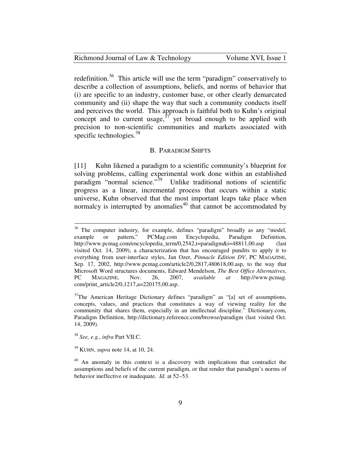|  | Richmond Journal of Law & Technology |
|--|--------------------------------------|
|--|--------------------------------------|

redefinition.<sup>36</sup> This article will use the term "paradigm" conservatively to describe a collection of assumptions, beliefs, and norms of behavior that (i) are specific to an industry, customer base, or other clearly demarcated community and (ii) shape the way that such a community conducts itself and perceives the world. This approach is faithful both to Kuhn's original concept and to current usage,  $37$  yet broad enough to be applied with precision to non-scientific communities and markets associated with specific technologies. $38$ 

#### B. PARADIGM SHIFTS

[11] Kuhn likened a paradigm to a scientific community's blueprint for solving problems, calling experimental work done within an established paradigm "normal science."<sup>39</sup> Unlike traditional notions of scientific progress as a linear, incremental process that occurs within a static universe, Kuhn observed that the most important leaps take place when normalcy is interrupted by anomalies<sup>40</sup> that cannot be accommodated by

<sup>38</sup> *See, e.g.*, *infra* Part VII.C.

 $\overline{a}$ 

<sup>39</sup> KUHN, *supra* note 14, at 10, 24.

 $36$  The computer industry, for example, defines "paradigm" broadly as any "model, example or pattern," PCMag.com Encyclopedia, Paradigm Definition, example or pattern," PCMag.com Encyclopedia, Paradigm Definition, http://www.pcmag.com/encyclopedia\_term/0,2542,t=paradigm&i=48811,00.asp (last visited Oct. 14, 2009), a characterization that has encouraged pundits to apply it to everything from user-interface styles, Jan Ozer, *Pinnacle Edition DV*, PC MAGAZINE, Sep. 17, 2002, http://www.pcmag.com/article2/0,2817,480618,00.asp, to the way that Microsoft Word structures documents, Edward Mendelson, *The Best Office Alternatives*, PC MAGAZINE, Nov. 26, 2007, *available at* http://www.pcmag. com/print\_article2/0,1217,a=220175,00.asp.

 $37$ The American Heritage Dictionary defines "paradigm" as "[a] set of assumptions, concepts, values, and practices that constitutes a way of viewing reality for the community that shares them, especially in an intellectual discipline." Dictionary.com, Paradigm Definition, http://dictionary.reference.com/browse/paradigm (last visited Oct. 14, 2009).

<sup>&</sup>lt;sup>40</sup> An anomaly in this context is a discovery with implications that contradict the assumptions and beliefs of the current paradigm, or that render that paradigm's norms of behavior ineffective or inadequate. *Id.* at 52−53.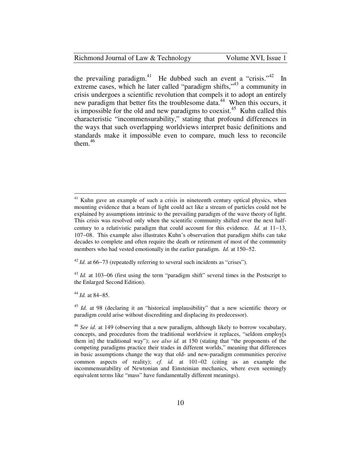### Richmond Journal of Law & Technology Volume XVI, Issue 1

the prevailing paradigm.<sup>41</sup> He dubbed such an event a "crisis."<sup>42</sup> In extreme cases, which he later called "paradigm shifts,"<sup>43</sup> a community in crisis undergoes a scientific revolution that compels it to adopt an entirely new paradigm that better fits the troublesome data.<sup>44</sup> When this occurs, it is impossible for the old and new paradigms to coexist.<sup>45</sup> Kuhn called this characteristic "incommensurability," stating that profound differences in the ways that such overlapping worldviews interpret basic definitions and standards make it impossible even to compare, much less to reconcile them.<sup>46</sup>

<sup>44</sup> *Id.* at 84−85.

Kuhn gave an example of such a crisis in nineteenth century optical physics, when mounting evidence that a beam of light could act like a stream of particles could not be explained by assumptions intrinsic to the prevailing paradigm of the wave theory of light. This crisis was resolved only when the scientific community shifted over the next halfcentury to a relativistic paradigm that could account for this evidence. *Id.* at 11−13, 107−08. This example also illustrates Kuhn's observation that paradigm shifts can take decades to complete and often require the death or retirement of most of the community members who had vested emotionally in the earlier paradigm. *Id.* at 150−52.

<sup>42</sup> *Id.* at 66−73 (repeatedly referring to several such incidents as "crises").

<sup>43</sup> *Id.* at 103−06 (first using the term "paradigm shift" several times in the Postscript to the Enlarged Second Edition).

<sup>&</sup>lt;sup>45</sup> *Id.* at 98 (declaring it an "historical implausibility" that a new scientific theory or paradigm could arise without discrediting and displacing its predecessor).

<sup>46</sup> *See id.* at 149 (observing that a new paradigm, although likely to borrow vocabulary, concepts, and procedures from the traditional worldview it replaces, "seldom employ[s them in] the traditional way"); *see also id.* at 150 (stating that "the proponents of the competing paradigms practice their trades in different worlds," meaning that differences in basic assumptions change the way that old- and new-paradigm communities perceive common aspects of reality); *cf. id.* at 101−02 (citing as an example the incommensurability of Newtonian and Einsteinian mechanics, where even seemingly equivalent terms like "mass" have fundamentally different meanings).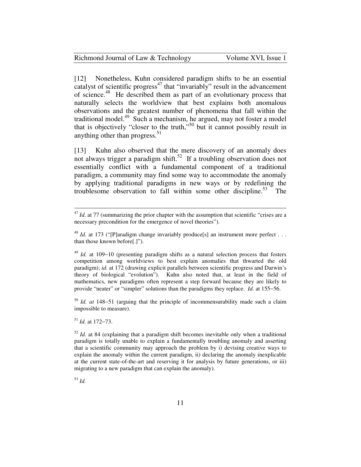| Richmond Journal of Law & Technology | Volume XVI, Issue 1 |
|--------------------------------------|---------------------|
|--------------------------------------|---------------------|

[12] Nonetheless, Kuhn considered paradigm shifts to be an essential catalyst of scientific progress<sup>47</sup> that "invariably" result in the advancement of science.<sup>48</sup> He described them as part of an evolutionary process that naturally selects the worldview that best explains both anomalous observations and the greatest number of phenomena that fall within the traditional model. $^{49}$  Such a mechanism, he argued, may not foster a model that is objectively "closer to the truth,"<sup>50</sup> but it cannot possibly result in anything other than progress. $51$ 

[13] Kuhn also observed that the mere discovery of an anomaly does not always trigger a paradigm shift.<sup>52</sup> If a troubling observation does not essentially conflict with a fundamental component of a traditional paradigm, a community may find some way to accommodate the anomaly by applying traditional paradigms in new ways or by redefining the troublesome observation to fall within some other discipline.<sup>53</sup> The

<sup>50</sup> *Id. at* 148−51 (arguing that the principle of incommensurability made such a claim impossible to measure).

<sup>51</sup> *Id.* at 172−73.

<sup>52</sup> *Id.* at 84 (explaining that a paradigm shift becomes inevitable only when a traditional paradigm is totally unable to explain a fundamentally troubling anomaly and asserting that a scientific community may approach the problem by i) devising creative ways to explain the anomaly within the current paradigm, ii) declaring the anomaly inexplicable at the current state-of-the-art and reserving it for analysis by future generations, or iii) migrating to a new paradigm that can explain the anomaly).

<sup>53</sup> *Id.*

 $47$  *Id.* at 77 (summarizing the prior chapter with the assumption that scientific "crises are a necessary precondition for the emergence of novel theories").

<sup>&</sup>lt;sup>48</sup> *Id.* at 173 ("[P]aradigm change invariably produce[s] an instrument more perfect . . . than those known before[.]").

<sup>49</sup> *Id.* at 109−10 (presenting paradigm shifts as a natural selection process that fosters competition among worldviews to best explain anomalies that thwarted the old paradigm); *id.* at 172 (drawing explicit parallels between scientific progress and Darwin's theory of biological "evolution"). Kuhn also noted that, at least in the field of mathematics, new paradigms often represent a step forward because they are likely to provide "neater" or "simpler" solutions than the paradigms they replace. *Id.* at 155−56.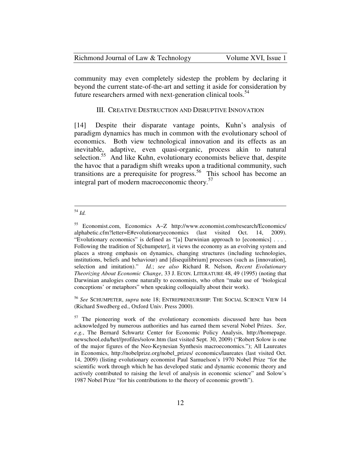| Richmond Journal of Law & Technology | Volume XVI, Issue 1 |
|--------------------------------------|---------------------|
|--------------------------------------|---------------------|

community may even completely sidestep the problem by declaring it beyond the current state-of-the-art and setting it aside for consideration by future researchers armed with next-generation clinical tools.<sup>54</sup>

#### III. CREATIVE DESTRUCTION AND DISRUPTIVE INNOVATION

[14] Despite their disparate vantage points, Kuhn's analysis of paradigm dynamics has much in common with the evolutionary school of economics. Both view technological innovation and its effects as an inevitable, adaptive, even quasi-organic, process akin to natural selection.<sup>55</sup> And like Kuhn, evolutionary economists believe that, despite the havoc that a paradigm shift wreaks upon a traditional community, such transitions are a prerequisite for progress.<sup>56</sup> This school has become an integral part of modern macroeconomic theory.<sup>57</sup>

<u>.</u>

<sup>56</sup> *See* SCHUMPETER, *supra* note 18; ENTREPRENEURSHIP: THE SOCIAL SCIENCE VIEW 14 (Richard Swedberg ed., Oxford Univ. Press 2000).

<sup>54</sup> *Id.*

<sup>55</sup> Economist.com, Economics A−Z http://www.economist.com/research/Economics/ alphabetic.cfm?letter=E#evolutionaryeconomics (last visited Oct. 14, 2009). "Evolutionary economics" is defined as "[a] Darwinian approach to [economics] . . . . Following the tradition of S[chumpeter], it views the economy as an evolving system and places a strong emphasis on dynamics, changing structures (including technologies, institutions, beliefs and behaviour) and [disequilibrium] processes (such as [innovation], selection and imitation)." *Id.*; *see also* Richard R. Nelson, *Recent Evolutionary Theorizing About Economic Change*, 33 J. ECON. LITERATURE 48, 49 (1995) (noting that Darwinian analogies come naturally to economists, who often "make use of 'biological conceptions' or metaphors" when speaking colloquially about their work).

 $57$  The pioneering work of the evolutionary economists discussed here has been acknowledged by numerous authorities and has earned them several Nobel Prizes. *See, e.g.*, The Bernard Schwartz Center for Economic Policy Analysis, http://homepage. newschool.edu/het//profiles/solow.htm (last visited Sept. 30, 2009) ("Robert Solow is one of the major figures of the Neo-Keynesian Synthesis macroeconomics."); All Laureates in Economics, http://nobelprize.org/nobel\_prizes/ economics/laureates (last visited Oct. 14, 2009) (listing evolutionary economist Paul Samuelson's 1970 Nobel Prize "for the scientific work through which he has developed static and dynamic economic theory and actively contributed to raising the level of analysis in economic science" and Solow's 1987 Nobel Prize "for his contributions to the theory of economic growth").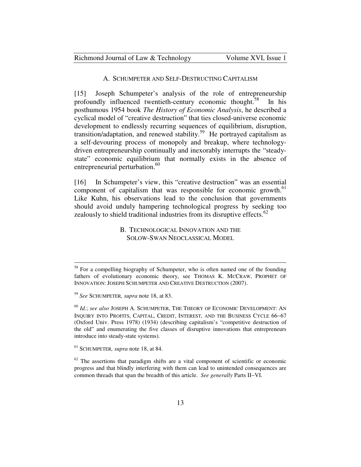#### A. SCHUMPETER AND SELF-DESTRUCTING CAPITALISM

[15] Joseph Schumpeter's analysis of the role of entrepreneurship profoundly influenced twentieth-century economic thought.<sup>58</sup> In his posthumous 1954 book *The History of Economic Analysis*, he described a cyclical model of "creative destruction" that ties closed-universe economic development to endlessly recurring sequences of equilibrium, disruption, transition/adaptation, and renewed stability.<sup>59</sup> He portrayed capitalism as a self-devouring process of monopoly and breakup, where technologydriven entrepreneurship continually and inexorably interrupts the "steadystate" economic equilibrium that normally exists in the absence of entrepreneurial perturbation.<sup>60</sup>

[16] In Schumpeter's view, this "creative destruction" was an essential component of capitalism that was responsible for economic growth.<sup>61</sup> Like Kuhn, his observations lead to the conclusion that governments should avoid unduly hampering technological progress by seeking too zealously to shield traditional industries from its disruptive effects.<sup>62</sup>

> B. TECHNOLOGICAL INNOVATION AND THE SOLOW-SWAN NEOCLASSICAL MODEL

<u>.</u>

<sup>&</sup>lt;sup>58</sup> For a compelling biography of Schumpeter, who is often named one of the founding fathers of evolutionary economic theory, see THOMAS K. MCCRAW, PROPHET OF INNOVATION: JOSEPH SCHUMPETER AND CREATIVE DESTRUCTION (2007).

<sup>59</sup> *See* SCHUMPETER*, supra* note 18, at 83.

<sup>60</sup> *Id.*; *see also* JOSEPH A. SCHUMPETER, THE THEORY OF ECONOMIC DEVELOPMENT: A<sup>N</sup> INQUIRY INTO PROFITS, CAPITAL, CREDIT, INTEREST, AND THE BUSINESS CYCLE 66−67 (Oxford Univ. Press 1978) (1934) (describing capitalism's "competitive destruction of the old" and enumerating the five classes of disruptive innovations that entrepreneurs introduce into steady-state systems).

<sup>61</sup> SCHUMPETER*, supra* note 18, at 84.

 $62$  The assertions that paradigm shifts are a vital component of scientific or economic progress and that blindly interfering with them can lead to unintended consequences are common threads that span the breadth of this article. *See generally* Parts II−VI.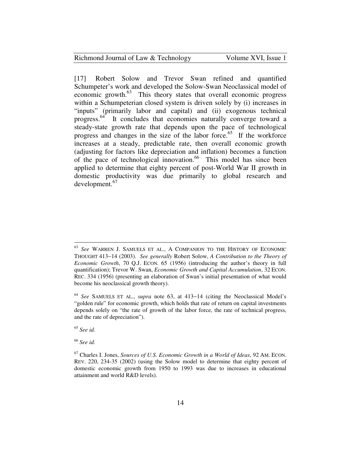## Richmond Journal of Law & Technology Volume XVI, Issue 1

[17] Robert Solow and Trevor Swan refined and quantified Schumpeter's work and developed the Solow-Swan Neoclassical model of economic growth.<sup>63</sup> This theory states that overall economic progress within a Schumpeterian closed system is driven solely by (i) increases in "inputs" (primarily labor and capital) and (ii) exogenous technical progress.<sup>64</sup> It concludes that economies naturally converge toward a steady-state growth rate that depends upon the pace of technological progress and changes in the size of the labor force. <sup>65</sup> If the workforce increases at a steady, predictable rate, then overall economic growth (adjusting for factors like depreciation and inflation) becomes a function of the pace of technological innovation.<sup>66</sup> This model has since been applied to determine that eighty percent of post-World War II growth in domestic productivity was due primarily to global research and development.<sup>67</sup>

<sup>65</sup> *See id.*

-

<sup>66</sup> *See id.* 

<sup>63</sup> *See* WARREN J. SAMUELS ET AL., A COMPANION TO THE HISTORY OF ECONOMIC THOUGHT 413−14 (2003). *See generally* Robert Solow, *A Contribution to the Theory of Economic Growth*, 70 Q.J. ECON. 65 (1956) (introducing the author's theory in full quantification); Trevor W. Swan, *Economic Growth and Capital Accumulation*, 32 ECON. REC. 334 (1956) (presenting an elaboration of Swan's initial presentation of what would become his neoclassical growth theory).

<sup>64</sup> *See* SAMUELS ET AL., *supra* note 63, at 413−14 (citing the Neoclassical Model's "golden rule" for economic growth, which holds that rate of return on capital investments depends solely on "the rate of growth of the labor force, the rate of technical progress, and the rate of depreciation").

<sup>67</sup> Charles I. Jones, *Sources of U.S. Economic Growth in a World of Ideas*, 92 AM. ECON. REV. 220, 234-35 (2002) (using the Solow model to determine that eighty percent of domestic economic growth from 1950 to 1993 was due to increases in educational attainment and world R&D levels).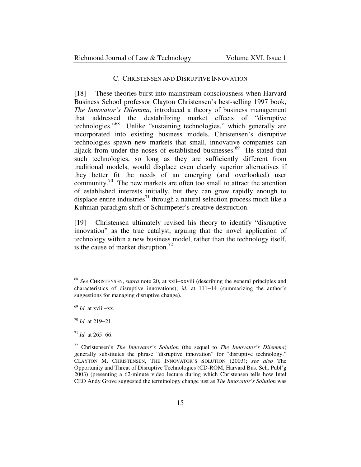#### C. CHRISTENSEN AND DISRUPTIVE INNOVATION

[18] These theories burst into mainstream consciousness when Harvard Business School professor Clayton Christensen's best-selling 1997 book, *The Innovator's Dilemma*, introduced a theory of business management that addressed the destabilizing market effects of "disruptive technologies."<sup>68</sup> Unlike "sustaining technologies," which generally are incorporated into existing business models, Christensen's disruptive technologies spawn new markets that small, innovative companies can hijack from under the noses of established businesses.<sup>69</sup> He stated that such technologies, so long as they are sufficiently different from traditional models, would displace even clearly superior alternatives if they better fit the needs of an emerging (and overlooked) user community.<sup>70</sup> The new markets are often too small to attract the attention of established interests initially, but they can grow rapidly enough to displace entire industries<sup>71</sup> through a natural selection process much like a Kuhnian paradigm shift or Schumpeter's creative destruction.

[19] Christensen ultimately revised his theory to identify "disruptive innovation" as the true catalyst, arguing that the novel application of technology within a new business model, rather than the technology itself, is the cause of market disruption.<sup>72</sup>

<sup>68</sup> *See* CHRISTENSEN, *supra* note 20, at xxii−xxviii (describing the general principles and characteristics of disruptive innovations); *id.* at 111−14 (summarizing the author's suggestions for managing disruptive change).

<sup>69</sup> *Id.* at xviii−xx.

<sup>70</sup> *Id.* at 219−21.

<sup>71</sup> *Id.* at 265−66.

<sup>72</sup> Christensen's *The Innovator's Solution* (the sequel to *The Innovator's Dilemma*) generally substitutes the phrase "disruptive innovation" for "disruptive technology." CLAYTON M. CHRISTENSEN, THE INNOVATOR'S SOLUTION (2003); *see also* The Opportunity and Threat of Disruptive Technologies (CD-ROM, Harvard Bus. Sch. Publ'g 2003) (presenting a 62-minute video lecture during which Christensen tells how Intel CEO Andy Grove suggested the terminology change just as *The Innovator's Solution* was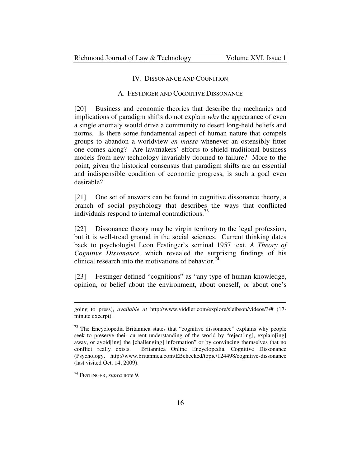#### IV. DISSONANCE AND COGNITION

### A. FESTINGER AND COGNITIVE DISSONANCE

[20] Business and economic theories that describe the mechanics and implications of paradigm shifts do not explain *why* the appearance of even a single anomaly would drive a community to desert long-held beliefs and norms. Is there some fundamental aspect of human nature that compels groups to abandon a worldview *en masse* whenever an ostensibly fitter one comes along? Are lawmakers' efforts to shield traditional business models from new technology invariably doomed to failure? More to the point, given the historical consensus that paradigm shifts are an essential and indispensible condition of economic progress, is such a goal even desirable?

[21] One set of answers can be found in cognitive dissonance theory, a branch of social psychology that describes the ways that conflicted individuals respond to internal contradictions.<sup>73</sup>

[22] Dissonance theory may be virgin territory to the legal profession, but it is well-tread ground in the social sciences. Current thinking dates back to psychologist Leon Festinger's seminal 1957 text, *A Theory of Cognitive Dissonance*, which revealed the surprising findings of his clinical research into the motivations of behavior.<sup>74</sup>

[23] Festinger defined "cognitions" as "any type of human knowledge, opinion, or belief about the environment, about oneself, or about one's

going to press), *available at* http://www.viddler.com/explore/sleibson/videos/3/# (17 minute excerpt).

<sup>&</sup>lt;sup>73</sup> The Encyclopedia Britannica states that "cognitive dissonance" explains why people seek to preserve their current understanding of the world by "reject[ing], explain[ing] away, or avoid[ing] the [challenging] information" or by convincing themselves that no conflict really exists. Britannica Online Encyclopedia, Cognitive Dissonance (Psychology, http://www.britannica.com/EBchecked/topic/124498/cognitive-dissonance (last visited Oct. 14, 2009).

<sup>74</sup> FESTINGER, *supra* note 9.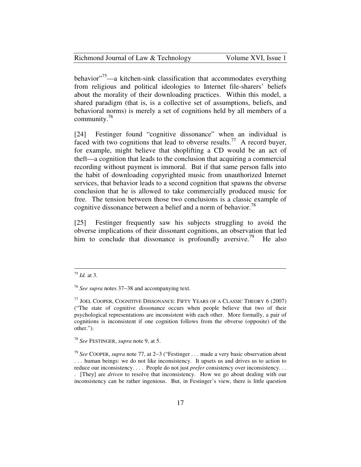| Richmond Journal of Law & Technology | Volume XVI, Issue 1 |
|--------------------------------------|---------------------|
|--------------------------------------|---------------------|

behavior $15$ <sup>75</sup>—a kitchen-sink classification that accommodates everything from religious and political ideologies to Internet file-sharers' beliefs about the morality of their downloading practices. Within this model, a shared paradigm (that is, is a collective set of assumptions, beliefs, and behavioral norms) is merely a set of cognitions held by all members of a community. $16$ 

[24] Festinger found "cognitive dissonance" when an individual is faced with two cognitions that lead to obverse results.<sup>77</sup> A record buyer, for example, might believe that shoplifting a CD would be an act of theft—a cognition that leads to the conclusion that acquiring a commercial recording without payment is immoral. But if that same person falls into the habit of downloading copyrighted music from unauthorized Internet services, that behavior leads to a second cognition that spawns the obverse conclusion that he is allowed to take commercially produced music for free. The tension between those two conclusions is a classic example of cognitive dissonance between a belief and a norm of behavior.<sup>78</sup>

[25] Festinger frequently saw his subjects struggling to avoid the obverse implications of their dissonant cognitions, an observation that led him to conclude that dissonance is profoundly aversive.<sup>79</sup> He also

 $\overline{a}$ 

<sup>78</sup> *See* FESTINGER, *supra* note 9, at 5.

<sup>79</sup> *See* COOPER, *supra* note 77, at 2−3 ("Festinger . . . made a very basic observation about . . . human beings: we do not like inconsistency. It upsets us and drives us to action to reduce our inconsistency. . . . People do not just *prefer* consistency over inconsistency. . . . [They] are *driven* to resolve that inconsistency. How we go about dealing with our inconsistency can be rather ingenious. But, in Festinger's view, there is little question

<sup>75</sup> *Id.* at 3.

<sup>76</sup> *See supra* notes 37−38 and accompanying text.

 $77$  JOEL COOPER, COGNITIVE DISSONANCE: FIFTY YEARS OF A CLASSIC THEORY 6 (2007) ("The state of cognitive dissonance occurs when people believe that two of their psychological representations are inconsistent with each other. More formally, a pair of cognitions is inconsistent if one cognition follows from the obverse (opposite) of the other.").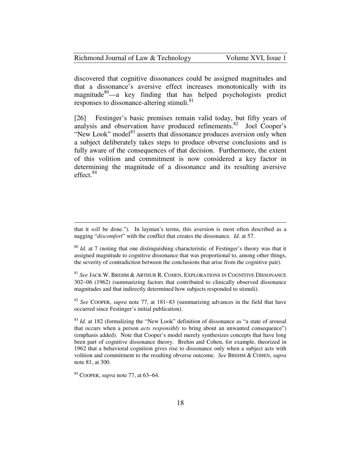| Richmond Journal of Law & Technology | Volume XVI, Issue 1 |
|--------------------------------------|---------------------|
|--------------------------------------|---------------------|

discovered that cognitive dissonances could be assigned magnitudes and that a dissonance's aversive effect increases monotonically with its magnitude<sup>80</sup>—a key finding that has helped psychologists predict responses to dissonance-altering stimuli.<sup>81</sup>

[26] Festinger's basic premises remain valid today, but fifty years of analysis and observation have produced refinements.<sup>82</sup> Joel Cooper's "New Look" model $^{83}$  asserts that dissonance produces aversion only when a subject deliberately takes steps to produce obverse conclusions and is fully aware of the consequences of that decision. Furthermore, the extent of this volition and commitment is now considered a key factor in determining the magnitude of a dissonance and its resulting aversive effect.<sup>84</sup>

<sup>81</sup> *See* JACK W. BREHM & ARTHUR R. COHEN, EXPLORATIONS IN COGNITIVE DISSONANCE 302−06 (1962) (summarizing factors that contributed to clinically observed dissonance magnitudes and that indirectly determined how subjects responded to stimuli).

<sup>82</sup> *See* COOPER, *supra* note 77, at 181−83 (summarizing advances in the field that have occurred since Festinger's initial publication).

<sup>83</sup> *Id.* at 182 (formalizing the "New Look" definition of dissonance as "a state of arousal that occurs when a person *acts responsibly* to bring about an unwanted consequence") (emphasis added). Note that Cooper's model merely synthesizes concepts that have long been part of cognitive dissonance theory. Brehm and Cohen, for example, theorized in 1962 that a behavioral cognition gives rise to dissonance only when a subject acts with volition and commitment to the resulting obverse outcome. *See* BREHM & COHEN, *supra* note 81, at 300.

<u>.</u>

that it *will* be done."). In layman's terms, this aversion is most often described as a nagging "*discomfort*" with the conflict that creates the dissonance. *Id.* at 57.

<sup>&</sup>lt;sup>80</sup> *Id.* at 7 (noting that one distinguishing characteristic of Festinger's theory was that it assigned magnitude to cognitive dissonance that was proportional to, among other things, the severity of contradiction between the conclusions that arise from the cognitive pair).

<sup>84</sup> COOPER, *supra* note 77, at 63−64.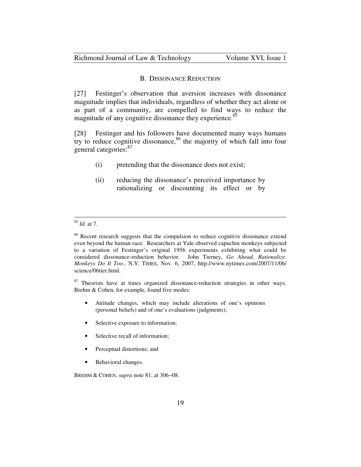#### B. DISSONANCE REDUCTION

[27] Festinger's observation that aversion increases with dissonance magnitude implies that individuals, regardless of whether they act alone or as part of a community, are compelled to find ways to reduce the magnitude of any cognitive dissonance they experience.<sup>85</sup>

[28] Festinger and his followers have documented many ways humans try to reduce cognitive dissonance,  $86$  the majority of which fall into four general categories:<sup>87</sup>

- (i) pretending that the dissonance does not exist;
- (ii) reducing the dissonance's perceived importance by rationalizing or discounting its effect or by

 $\overline{a}$ 

<sup>87</sup> Theorists have at times organized dissonance-reduction strategies in other ways. Brehm & Cohen, for example, found five modes:

- Attitude changes, which may include alterations of one's opinions (personal beliefs) and of one's evaluations (judgments);
- Selective exposure to information;
- Selective recall of information;
- Perceptual distortions; and
- Behavioral changes.

BREHM & COHEN, *supra* note 81, at 306−08.

<sup>85</sup> *Id.* at 7.

<sup>&</sup>lt;sup>86</sup> Recent research suggests that the compulsion to reduce cognitive dissonance extend even beyond the human race. Researchers at Yale observed capuchin monkeys subjected to a variation of Festinger's original 1956 experiments exhibiting what could be considered dissonance-reduction behavior. John Tierney, *Go Ahead, Rationalize. Monkeys Do It Too.*, N.Y. TIMES, Nov. 6, 2007, http://www.nytimes.com/2007/11/06/ science/06tier.html.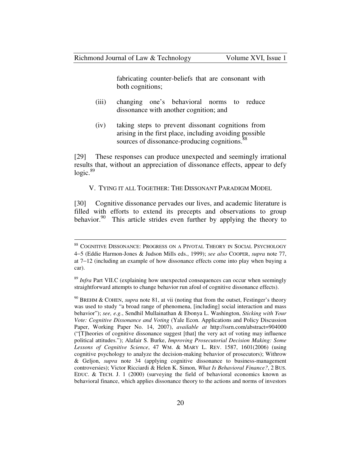<u>.</u>

fabricating counter-beliefs that are consonant with both cognitions;

- (iii) changing one's behavioral norms to reduce dissonance with another cognition; and
- (iv) taking steps to prevent dissonant cognitions from arising in the first place, including avoiding possible sources of dissonance-producing cognitions.<sup>88</sup>

[29] These responses can produce unexpected and seemingly irrational results that, without an appreciation of dissonance effects, appear to defy  $logic.<sup>89</sup>$ 

V. TYING IT ALL TOGETHER: THE DISSONANT PARADIGM MODEL

[30] Cognitive dissonance pervades our lives, and academic literature is filled with efforts to extend its precepts and observations to group behavior.<sup>90</sup> This article strides even further by applying the theory to

<sup>88</sup> COGNITIVE DISSONANCE: PROGRESS ON A PIVOTAL THEORY IN SOCIAL PSYCHOLOGY 4−5 (Eddie Harmon-Jones & Judson Mills eds., 1999); *see also* COOPER, *supra* note 77, at 7−12 (including an example of how dissonance effects come into play when buying a car).

<sup>&</sup>lt;sup>89</sup> *Infra* Part VII.C (explaining how unexpected consequences can occur when seemingly straightforward attempts to change behavior run afoul of cognitive dissonance effects).

<sup>90</sup> BREHM & COHEN, *supra* note 81, at vii (noting that from the outset, Festinger's theory was used to study "a broad range of phenomena, [including] social interaction and mass behavior"); *see, e.g.*, Sendhil Mullainathan & Ebonya L. Washington, *Sticking with Your Vote: Cognitive Dissonance and Voting* (Yale Econ. Applications and Policy Discussion Paper, Working Paper No. 14, 2007), *available at* http://ssrn.com/abstract=904000 ("[T]heories of cognitive dissonance suggest [that] the very act of voting may influence political attitudes."); Alafair S. Burke, *Improving Prosecutorial Decision Making: Some Lessons of Cognitive Science*, 47 WM. & MARY L. REV. 1587, 1601(2006) (using cognitive psychology to analyze the decision-making behavior of prosecutors); Withrow & Geljon, *supra* note 34 (applying cognitive dissonance to business-management controversies); Victor Ricciardi & Helen K. Simon, *What Is Behavioral Finance?*, 2 BUS. EDUC. & TECH. J. 1 (2000) (surveying the field of behavioral economics known as behavioral finance, which applies dissonance theory to the actions and norms of investors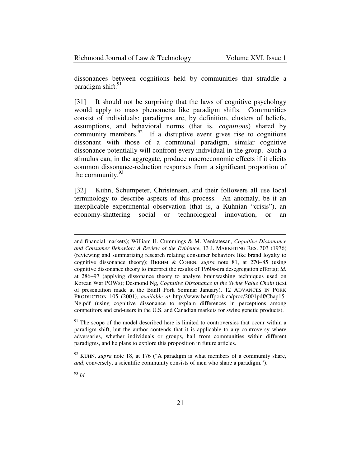| Richmond Journal of Law & Technology | Volume XVI, Issue 1 |
|--------------------------------------|---------------------|
|--------------------------------------|---------------------|

dissonances between cognitions held by communities that straddle a paradigm shift. $91$ 

[31] It should not be surprising that the laws of cognitive psychology would apply to mass phenomena like paradigm shifts. Communities consist of individuals; paradigms are, by definition, clusters of beliefs, assumptions, and behavioral norms (that is, *cognitions*) shared by community members. $92$  If a disruptive event gives rise to cognitions dissonant with those of a communal paradigm, similar cognitive dissonance potentially will confront every individual in the group. Such a stimulus can, in the aggregate, produce macroeconomic effects if it elicits common dissonance-reduction responses from a significant proportion of the community.  $93$ 

[32] Kuhn, Schumpeter, Christensen, and their followers all use local terminology to describe aspects of this process. An anomaly, be it an inexplicable experimental observation (that is, a Kuhnian "crisis"), an economy-shattering social or technological innovation, or an

 $91$ <sup>91</sup> The scope of the model described here is limited to controversies that occur within a paradigm shift, but the author contends that it is applicable to any controversy where adversaries, whether individuals or groups, hail from communities within different paradigms, and he plans to explore this proposition in future articles.

<sup>93</sup> *Id.* 

and financial markets); William H. Cummings & M. Venkatesan, *Cognitive Dissonance and Consumer Behavior: A Review of the Evidence*, 13 J. MARKETING RES. 303 (1976) (reviewing and summarizing research relating consumer behaviors like brand loyalty to cognitive dissonance theory); BREHM & COHEN, *supra* note 81, at 270−85 (using cognitive dissonance theory to interpret the results of 1960s-era desegregation efforts); *id.* at 286−97 (applying dissonance theory to analyze brainwashing techniques used on Korean War POWs); Desmond Ng, *Cognitive Dissonance in the Swine Value Chain* (text of presentation made at the Banff Pork Seminar January), 12 ADVANCES IN PORK PRODUCTION 105 (2001), *available at* http://www.banffpork.ca/proc/2001pdf/Chap15- Ng.pdf (using cognitive dissonance to explain differences in perceptions among competitors and end-users in the U.S. and Canadian markets for swine genetic products).

<sup>&</sup>lt;sup>92</sup> KUHN, *supra* note 18, at 176 ("A paradigm is what members of a community share, *and*, conversely, a scientific community consists of men who share a paradigm.").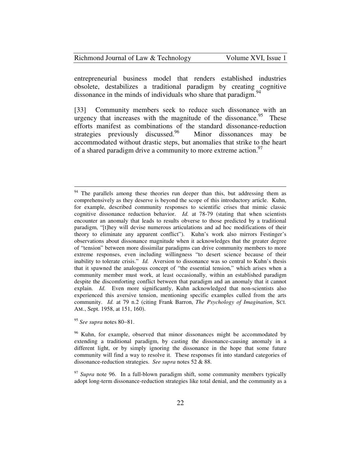| Richmond Journal of Law & Technology | Volume XVI, Issue 1 |
|--------------------------------------|---------------------|
|--------------------------------------|---------------------|

entrepreneurial business model that renders established industries obsolete, destabilizes a traditional paradigm by creating cognitive dissonance in the minds of individuals who share that paradigm.<sup>9</sup>

[33] Community members seek to reduce such dissonance with an urgency that increases with the magnitude of the dissonance.<sup>95</sup> These efforts manifest as combinations of the standard dissonance-reduction strategies previously discussed.<sup>96</sup> Minor dissonances may be accommodated without drastic steps, but anomalies that strike to the heart of a shared paradigm drive a community to more extreme action.<sup>97</sup>

<sup>&</sup>lt;sup>94</sup> The parallels among these theories run deeper than this, but addressing them as comprehensively as they deserve is beyond the scope of this introductory article. Kuhn, for example, described community responses to scientific crises that mimic classic cognitive dissonance reduction behavior. *Id.* at 78-79 (stating that when scientists encounter an anomaly that leads to results obverse to those predicted by a traditional paradigm, "[t]hey will devise numerous articulations and ad hoc modifications of their theory to eliminate any apparent conflict"). Kuhn's work also mirrors Festinger's observations about dissonance magnitude when it acknowledges that the greater degree of "tension" between more dissimilar paradigms can drive community members to more extreme responses, even including willingness "to desert science because of their inability to tolerate crisis." *Id.* Aversion to dissonance was so central to Kuhn's thesis that it spawned the analogous concept of "the essential tension," which arises when a community member must work, at least occasionally, within an established paradigm despite the discomforting conflict between that paradigm and an anomaly that it cannot explain. *Id.* Even more significantly, Kuhn acknowledged that non-scientists also experienced this aversive tension, mentioning specific examples culled from the arts community. *Id.* at 79 n.2 (citing Frank Barron, *The Psychology of Imagination*, SCI. AM., Sept. 1958, at 151, 160).

<sup>95</sup> *See supra* notes 80−81.

<sup>&</sup>lt;sup>96</sup> Kuhn, for example, observed that minor dissonances might be accommodated by extending a traditional paradigm, by casting the dissonance-causing anomaly in a different light, or by simply ignoring the dissonance in the hope that some future community will find a way to resolve it. These responses fit into standard categories of dissonance-reduction strategies. *See supra* notes 52 & 88.

<sup>&</sup>lt;sup>97</sup> *Supra* note 96. In a full-blown paradigm shift, some community members typically adopt long-term dissonance-reduction strategies like total denial, and the community as a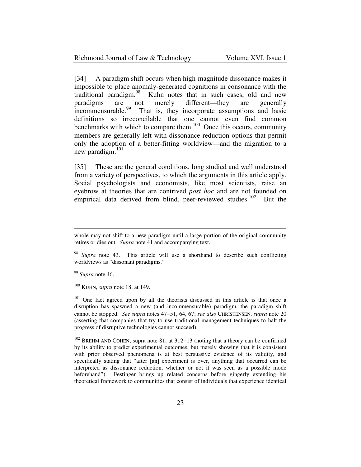| Richmond Journal of Law & Technology |  |
|--------------------------------------|--|
|--------------------------------------|--|

Volume XVI, Issue 1

[34] A paradigm shift occurs when high-magnitude dissonance makes it impossible to place anomaly-generated cognitions in consonance with the traditional paradigm.<sup>98</sup> Kuhn notes that in such cases, old and new Kuhn notes that in such cases, old and new paradigms are not merely different—they are generally incommensurable.<sup>99</sup> That is, they incorporate assumptions and basic That is, they incorporate assumptions and basic definitions so irreconcilable that one cannot even find common benchmarks with which to compare them.<sup>100</sup> Once this occurs, community members are generally left with dissonance-reduction options that permit only the adoption of a better-fitting worldview—and the migration to a new paradigm. $^{101}$ 

[35] These are the general conditions, long studied and well understood from a variety of perspectives, to which the arguments in this article apply. Social psychologists and economists, like most scientists, raise an eyebrow at theories that are contrived *post hoc* and are not founded on empirical data derived from blind, peer-reviewed studies.<sup>102</sup> But the

<sup>99</sup> *Supra* note 46.

-

<sup>100</sup> KUHN, *supra* note 18, at 149.

<sup>101</sup> One fact agreed upon by all the theorists discussed in this article is that once a disruption has spawned a new (and incommensurable) paradigm, the paradigm shift cannot be stopped. *See supra* notes 47−51, 64, 67; *see also* CHRISTENSEN, *supra* note 20 (asserting that companies that try to use traditional management techniques to halt the progress of disruptive technologies cannot succeed).

<sup>102</sup> BREHM AND COHEN, supra note 81, at 312–13 (noting that a theory can be confirmed by its ability to predict experimental outcomes, but merely showing that it is consistent with prior observed phenomena is at best persuasive evidence of its validity, and specifically stating that "after [an] experiment is over, anything that occurred can be interpreted as dissonance reduction, whether or not it was seen as a possible mode beforehand"). Festinger brings up related concerns before gingerly extending his theoretical framework to communities that consist of individuals that experience identical

whole may not shift to a new paradigm until a large portion of the original community retires or dies out. *Supra* note 41 and accompanying text.

<sup>98</sup> *Supra* note 43. This article will use a shorthand to describe such conflicting worldviews as "dissonant paradigms."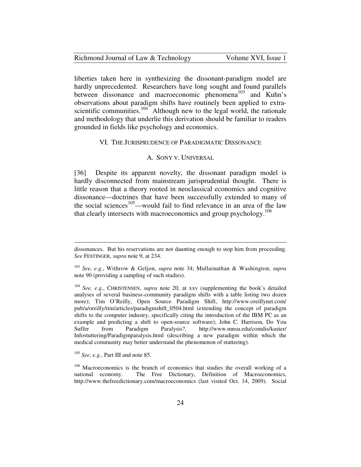#### Richmond Journal of Law & Technology Volume XVI, Issue 1

liberties taken here in synthesizing the dissonant-paradigm model are hardly unprecedented. Researchers have long sought and found parallels between dissonance and macroeconomic phenomena<sup>103</sup> and Kuhn's observations about paradigm shifts have routinely been applied to extrascientific communities.<sup>104</sup> Although new to the legal world, the rationale and methodology that underlie this derivation should be familiar to readers grounded in fields like psychology and economics.

#### VI. THE JURISPRUDENCE OF PARADIGMATIC DISSONANCE

### A. SONY V. UNIVERSAL

[36] Despite its apparent novelty, the dissonant paradigm model is hardly disconnected from mainstream jurisprudential thought. There is little reason that a theory rooted in neoclassical economics and cognitive dissonance—doctrines that have been successfully extended to many of the social sciences<sup>105</sup>—would fail to find relevance in an area of the law that clearly intersects with macroeconomics and group psychology.<sup>106</sup>

dissonances. But his reservations are not daunting enough to stop him from proceeding. *See* FESTINGER, *supra* note 9, at 234.

<sup>103</sup> *See, e.g.*, Withrow & Geljon, *supra* note 34; Mullainathan & Washington, *supra*  note 90 (providing a sampling of such studies).

<sup>104</sup> *See, e.g.*, CHRISTENSEN, *supra* note 20, at xxv (supplementing the book's detailed analyses of several business-community paradigm shifts with a table listing two dozen more); Tim O'Reilly, Open Source Paradigm Shift, http://www.oreillynet.com/ pub/a/oreilly/tim/articles/paradigmshift\_0504.html (extending the concept of paradigm shifts to the computer industry, specifically citing the introduction of the IBM PC as an example and predicting a shift to open-source software); John C. Harrison, Do You Suffer from Paradigm Paralysis?, http://www.mnsu.edu/comdis/kuster/ Infostuttering/Paradigmparalysis.html (describing a new paradigm within which the medical community may better understand the phenomenon of stuttering).

<sup>105</sup> *See, e.g.*, Part III and note 85.

<sup>&</sup>lt;sup>106</sup> Macroeconomics is the branch of economics that studies the overall working of a national economy. The Free Dictionary, Definition of Macroeconomics, http://www.thefreedictionary.com/macroeconomics (last visited Oct. 14, 2009). Social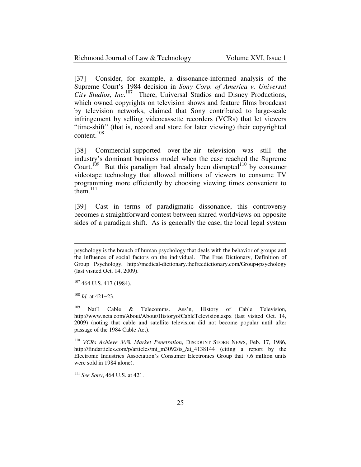Volume XVI, Issue 1

[37] Consider, for example, a dissonance-informed analysis of the Supreme Court's 1984 decision in *Sony Corp. of America v. Universal City Studios, Inc*. <sup>107</sup> There, Universal Studios and Disney Productions, which owned copyrights on television shows and feature films broadcast by television networks, claimed that Sony contributed to large-scale infringement by selling videocassette recorders (VCRs) that let viewers "time-shift" (that is, record and store for later viewing) their copyrighted content.<sup>108</sup>

[38] Commercial-supported over-the-air television was still the industry's dominant business model when the case reached the Supreme Court.<sup>109</sup> But this paradigm had already been disrupted<sup>110</sup> by consumer videotape technology that allowed millions of viewers to consume TV programming more efficiently by choosing viewing times convenient to them. $^{111}$ 

[39] Cast in terms of paradigmatic dissonance, this controversy becomes a straightforward contest between shared worldviews on opposite sides of a paradigm shift. As is generally the case, the local legal system

 $107$  464 U.S. 417 (1984).

<sup>108</sup> *Id.* at 421−23.

<u>.</u>

<sup>109</sup> Nat'l Cable & Telecomms. Ass'n, History of Cable Television, http://www.ncta.com/About/About/HistoryofCableTelevision.aspx (last visited Oct. 14, 2009) (noting that cable and satellite television did not become popular until after passage of the 1984 Cable Act).

<sup>110</sup> *VCRs Achieve 30% Market Penetration*, DISCOUNT STORE NEWS, Feb. 17, 1986, http://findarticles.com/p/articles/mi\_m3092/is\_/ai\_4138144 (citing a report by the Electronic Industries Association's Consumer Electronics Group that 7.6 million units were sold in 1984 alone).

psychology is the branch of human psychology that deals with the behavior of groups and the influence of social factors on the individual. The Free Dictionary, Definition of Group Psychology, http://medical-dictionary.thefreedictionary.com/Group+psychology (last visited Oct. 14, 2009).

<sup>111</sup> *See Sony*, 464 U.S. at 421.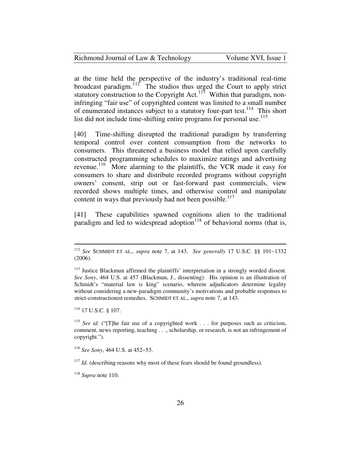| Richmond Journal of Law & Technology | Volume XVI, Issue 1 |
|--------------------------------------|---------------------|
|--------------------------------------|---------------------|

at the time held the perspective of the industry's traditional real-time broadcast paradigm. $112$  The studios thus urged the Court to apply strict statutory construction to the Copyright Act.<sup>113</sup> Within that paradigm, noninfringing "fair use" of copyrighted content was limited to a small number of enumerated instances subject to a statutory four-part test.<sup>114</sup> This short list did not include time-shifting entire programs for personal use.<sup>115</sup>

[40] Time-shifting disrupted the traditional paradigm by transferring temporal control over content consumption from the networks to consumers. This threatened a business model that relied upon carefully constructed programming schedules to maximize ratings and advertising revenue.<sup>116</sup> More alarming to the plaintiffs, the VCR made it easy for consumers to share and distribute recorded programs without copyright owners' consent, strip out or fast-forward past commercials, view recorded shows multiple times, and otherwise control and manipulate content in ways that previously had not been possible. $117$ 

[41] These capabilities spawned cognitions alien to the traditional paradigm and led to widespread adoption<sup>118</sup> of behavioral norms (that is,

<sup>114</sup> 17 U.S.C. § 107.

<sup>112</sup> *See* SCHMIDT ET AL., *supra* note 7, at 143. *See generally* 17 U.S.C. §§ 101−1332 (2006).

<sup>&</sup>lt;sup>113</sup> Justice Blackmun affirmed the plaintiffs' interpretation in a strongly worded dissent. *See Sony*, 464 U.S. at 457 (Blackmun, J., dissenting). His opinion is an illustration of Schmidt's "material law is king" scenario, wherein adjudicators determine legality without considering a new-paradigm community's motivations and probable responses to strict-constructionist remedies. SCHMIDT ET AL., *supra* note 7, at 143.

<sup>115</sup> *See id.* ("[T]he fair use of a copyrighted work . . . for purposes such as criticism, comment, news reporting, teaching . . ., scholarship, or research, is not an infringement of copyright.").

<sup>116</sup> *See Sony*, 464 U.S. at 452−53.

 $117$  *Id.* (describing reasons why most of these fears should be found groundless).

<sup>118</sup> *Supra* note 110.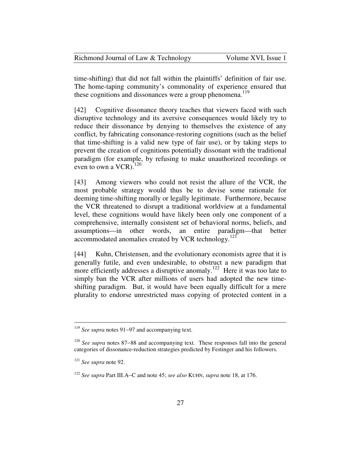| Richmond Journal of Law & Technology | Volume XVI, Issue 1 |
|--------------------------------------|---------------------|
|--------------------------------------|---------------------|

time-shifting) that did not fall within the plaintiffs' definition of fair use. The home-taping community's commonality of experience ensured that these cognitions and dissonances were a group phenomena.<sup>119</sup>

[42] Cognitive dissonance theory teaches that viewers faced with such disruptive technology and its aversive consequences would likely try to reduce their dissonance by denying to themselves the existence of any conflict, by fabricating consonance-restoring cognitions (such as the belief that time-shifting is a valid new type of fair use), or by taking steps to prevent the creation of cognitions potentially dissonant with the traditional paradigm (for example, by refusing to make unauthorized recordings or even to own a  $VCR$ ).<sup>120</sup>

[43] Among viewers who could not resist the allure of the VCR, the most probable strategy would thus be to devise some rationale for deeming time-shifting morally or legally legitimate. Furthermore, because the VCR threatened to disrupt a traditional worldview at a fundamental level, these cognitions would have likely been only one component of a comprehensive, internally consistent set of behavioral norms, beliefs, and assumptions—in other words, an entire paradigm—that better accommodated anomalies created by VCR technology.<sup>121</sup>

[44] Kuhn, Christensen, and the evolutionary economists agree that it is generally futile, and even undesirable, to obstruct a new paradigm that more efficiently addresses a disruptive anomaly.<sup>122</sup> Here it was too late to simply ban the VCR after millions of users had adopted the new timeshifting paradigm. But, it would have been equally difficult for a mere plurality to endorse unrestricted mass copying of protected content in a

<sup>119</sup> *See supra* notes 91−97 and accompanying text.

<sup>120</sup> *See supra* notes 87−88 and accompanying text. These responses fall into the general categories of dissonance-reduction strategies predicted by Festinger and his followers.

<sup>121</sup> *See supra* note 92.

<sup>122</sup> *See supra* Part III.A−C and note 45; *see also* KUHN, *supra* note 18, at 176.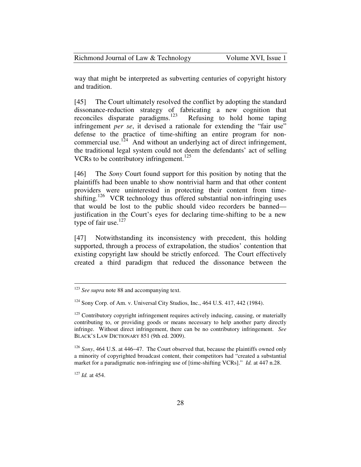Richmond Journal of Law & Technology Volume XVI, Issue 1

way that might be interpreted as subverting centuries of copyright history and tradition.

[45] The Court ultimately resolved the conflict by adopting the standard dissonance-reduction strategy of fabricating a new cognition that reconciles disparate paradigms.<sup>123</sup> Refusing to hold home taping infringement *per se*, it devised a rationale for extending the "fair use" defense to the practice of time-shifting an entire program for noncommercial use.<sup>124</sup> And without an underlying act of direct infringement, the traditional legal system could not deem the defendants' act of selling VCRs to be contributory infringement.<sup>125</sup>

[46] The *Sony* Court found support for this position by noting that the plaintiffs had been unable to show nontrivial harm and that other content providers were uninterested in protecting their content from timeshifting.<sup>126</sup> VCR technology thus offered substantial non-infringing uses that would be lost to the public should video recorders be banned justification in the Court's eyes for declaring time-shifting to be a new type of fair use. $127$ 

[47] Notwithstanding its inconsistency with precedent, this holding supported, through a process of extrapolation, the studios' contention that existing copyright law should be strictly enforced. The Court effectively created a third paradigm that reduced the dissonance between the

<sup>127</sup> *Id.* at 454.

<sup>123</sup> *See supra* note 88 and accompanying text.

 $124$  Sony Corp. of Am. v. Universal City Studios, Inc., 464 U.S. 417, 442 (1984).

 $125$  Contributory copyright infringement requires actively inducing, causing, or materially contributing to, or providing goods or means necessary to help another party directly infringe. Without direct infringement, there can be no contributory infringement. *See* BLACK'S LAW DICTIONARY 851 (9th ed. 2009).

<sup>126</sup> *Sony*, 464 U.S. at 446−47. The Court observed that, because the plaintiffs owned only a minority of copyrighted broadcast content, their competitors had "created a substantial market for a paradigmatic non-infringing use of [time-shifting VCRs]." *Id.* at 447 n.28.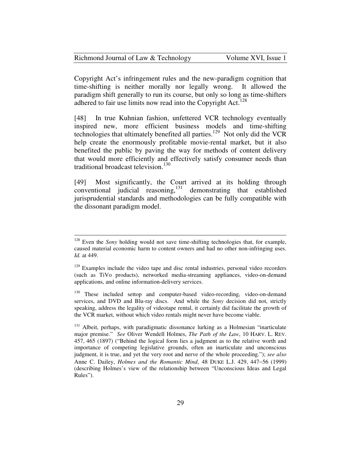| Richmond Journal of Law & Technology | Volume XVI, Issue 1 |
|--------------------------------------|---------------------|
|--------------------------------------|---------------------|

Copyright Act's infringement rules and the new-paradigm cognition that time-shifting is neither morally nor legally wrong. It allowed the paradigm shift generally to run its course, but only so long as time-shifters adhered to fair use limits now read into the Copyright Act.<sup>128</sup>

[48] In true Kuhnian fashion, unfettered VCR technology eventually inspired new, more efficient business models and time-shifting technologies that ultimately benefited all parties.<sup>129</sup> Not only did the VCR help create the enormously profitable movie-rental market, but it also benefited the public by paving the way for methods of content delivery that would more efficiently and effectively satisfy consumer needs than traditional broadcast television.<sup>130</sup>

[49] Most significantly, the Court arrived at its holding through  $conventional$  judicial reasoning, $131$  demonstrating that established jurisprudential standards and methodologies can be fully compatible with the dissonant paradigm model.

<sup>&</sup>lt;sup>128</sup> Even the *Sony* holding would not save time-shifting technologies that, for example, caused material economic harm to content owners and had no other non-infringing uses. *Id.* at 449.

<sup>&</sup>lt;sup>129</sup> Examples include the video tape and disc rental industries, personal video recorders (such as TiVo products), networked media-streaming appliances, video-on-demand applications, and online information-delivery services.

<sup>&</sup>lt;sup>130</sup> These included settop and computer-based video-recording, video-on-demand services, and DVD and Blu-ray discs. And while the *Sony* decision did not, strictly speaking, address the legality of videotape rental, it certainly did facilitate the growth of the VCR market, without which video rentals might never have become viable.

<sup>&</sup>lt;sup>131</sup> Albeit, perhaps, with paradigmatic dissonance lurking as a Holmesian "inarticulate major premise." *See* Oliver Wendell Holmes, *The Path of the Law*, 10 HARV. L. REV. 457, 465 (1897) ("Behind the logical form lies a judgment as to the relative worth and importance of competing legislative grounds, often an inarticulate and unconscious judgment, it is true, and yet the very root and nerve of the whole proceeding."); *see also* Anne C. Dailey, *Holmes and the Romantic Mind*, 48 DUKE L.J. 429, 447−56 (1999) (describing Holmes's view of the relationship between "Unconscious Ideas and Legal Rules").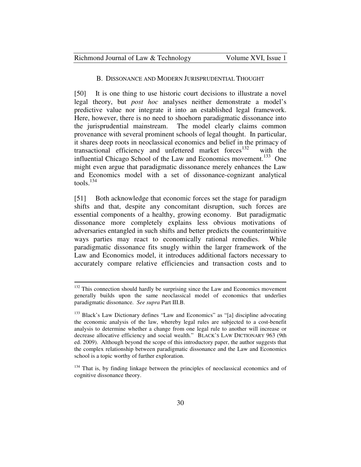<u>.</u>

#### B. DISSONANCE AND MODERN JURISPRUDENTIAL THOUGHT

[50] It is one thing to use historic court decisions to illustrate a novel legal theory, but *post hoc* analyses neither demonstrate a model's predictive value nor integrate it into an established legal framework. Here, however, there is no need to shoehorn paradigmatic dissonance into the jurisprudential mainstream. The model clearly claims common provenance with several prominent schools of legal thought. In particular, it shares deep roots in neoclassical economics and belief in the primacy of transactional efficiency and unfettered market forces $132$  with the influential Chicago School of the Law and Economics movement.<sup>133</sup> One might even argue that paradigmatic dissonance merely enhances the Law and Economics model with a set of dissonance-cognizant analytical tools. $^{134}$ 

[51] Both acknowledge that economic forces set the stage for paradigm shifts and that, despite any concomitant disruption, such forces are essential components of a healthy, growing economy. But paradigmatic dissonance more completely explains less obvious motivations of adversaries entangled in such shifts and better predicts the counterintuitive ways parties may react to economically rational remedies. While paradigmatic dissonance fits snugly within the larger framework of the Law and Economics model, it introduces additional factors necessary to accurately compare relative efficiencies and transaction costs and to

<sup>&</sup>lt;sup>132</sup> This connection should hardly be surprising since the Law and Economics movement generally builds upon the same neoclassical model of economics that underlies paradigmatic dissonance. *See supra* Part III.B.

<sup>&</sup>lt;sup>133</sup> Black's Law Dictionary defines "Law and Economics" as "[a] discipline advocating the economic analysis of the law, whereby legal rules are subjected to a cost-benefit analysis to determine whether a change from one legal rule to another will increase or decrease allocative efficiency and social wealth." BLACK'S LAW DICTIONARY 963 (9th ed. 2009). Although beyond the scope of this introductory paper, the author suggests that the complex relationship between paradigmatic dissonance and the Law and Economics school is a topic worthy of further exploration.

<sup>&</sup>lt;sup>134</sup> That is, by finding linkage between the principles of neoclassical economics and of cognitive dissonance theory.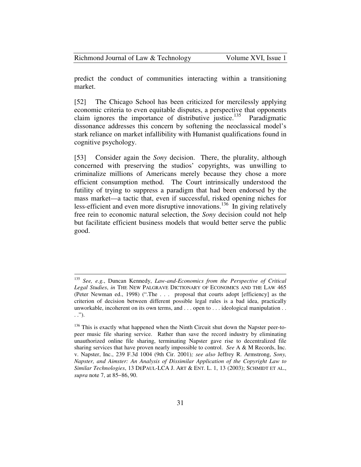| Richmond Journal of Law & Technology | Volume XVI, Issue 1 |
|--------------------------------------|---------------------|
|--------------------------------------|---------------------|

predict the conduct of communities interacting within a transitioning market.

[52] The Chicago School has been criticized for mercilessly applying economic criteria to even equitable disputes, a perspective that opponents claim ignores the importance of distributive justice.<sup>135</sup> Paradigmatic dissonance addresses this concern by softening the neoclassical model's stark reliance on market infallibility with Humanist qualifications found in cognitive psychology.

[53] Consider again the *Sony* decision. There, the plurality, although concerned with preserving the studios' copyrights, was unwilling to criminalize millions of Americans merely because they chose a more efficient consumption method. The Court intrinsically understood the futility of trying to suppress a paradigm that had been endorsed by the mass market—a tactic that, even if successful, risked opening niches for less-efficient and even more disruptive innovations.<sup>136</sup> In giving relatively free rein to economic natural selection, the *Sony* decision could not help but facilitate efficient business models that would better serve the public good.

<sup>135</sup> *See, e.g.*, Duncan Kennedy, *Law-and-Economics from the Perspective of Critical Legal Studies*, *in* THE NEW PALGRAVE DICTIONARY OF ECONOMICS AND THE LAW 465 (Peter Newman ed., 1998) (".The . . . proposal that courts adopt [efficiency] as the criterion of decision between different possible legal rules is a bad idea, practically unworkable, incoherent on its own terms, and . . . open to . . . ideological manipulation . . . .").

<sup>&</sup>lt;sup>136</sup> This is exactly what happened when the Ninth Circuit shut down the Napster peer-topeer music file sharing service. Rather than save the record industry by eliminating unauthorized online file sharing, terminating Napster gave rise to decentralized file sharing services that have proven nearly impossible to control. *See* A & M Records, Inc. v. Napster, Inc., 239 F.3d 1004 (9th Cir. 2001)*; see also* Jeffrey R. Armstrong, *Sony, Napster, and Aimster: An Analysis of Dissimilar Application of the Copyright Law to Similar Technologies*, 13 DEPAUL-LCA J. ART & ENT. L. 1, 13 (2003); SCHMIDT ET AL., *supra* note 7, at 85−86, 90.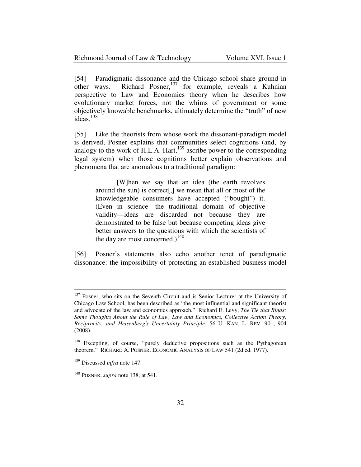| Richmond Journal of Law & Technology | Volume XVI, Issue 1 |
|--------------------------------------|---------------------|
|--------------------------------------|---------------------|

[54] Paradigmatic dissonance and the Chicago school share ground in other ways. Richard Posner,<sup>137</sup> for example, reveals a Kuhnian perspective to Law and Economics theory when he describes how evolutionary market forces, not the whims of government or some objectively knowable benchmarks, ultimately determine the "truth" of new  $i$ deas.<sup>138</sup>

[55] Like the theorists from whose work the dissonant-paradigm model is derived, Posner explains that communities select cognitions (and, by analogy to the work of H.L.A. Hart, $^{139}$  ascribe power to the corresponding legal system) when those cognitions better explain observations and phenomena that are anomalous to a traditional paradigm:

 [W]hen we say that an idea (the earth revolves around the sun) is correct[,] we mean that all or most of the knowledgeable consumers have accepted ("bought") it. (Even in science—the traditional domain of objective validity—ideas are discarded not because they are demonstrated to be false but because competing ideas give better answers to the questions with which the scientists of the day are most concerned.)<sup>140</sup>

[56] Posner's statements also echo another tenet of paradigmatic dissonance: the impossibility of protecting an established business model

<sup>&</sup>lt;sup>137</sup> Posner, who sits on the Seventh Circuit and is Senior Lecturer at the University of Chicago Law School, has been described as "the most influential and significant theorist and advocate of the law and economics approach." Richard E. Levy, *The Tie that Binds: Some Thoughts About the Rule of Law, Law and Economics, Collective Action Theory, Reciprocity, and Heisenberg's Uncertainty Principle*, 56 U. KAN. L. REV. 901, 904 (2008).

<sup>&</sup>lt;sup>138</sup> Excepting, of course, "purely deductive propositions such as the Pythagorean theorem." RICHARD A. POSNER, ECONOMIC ANALYSIS OF LAW 541 (2d ed. 1977).

<sup>139</sup> Discussed *infra* note 147.

<sup>140</sup> POSNER, *supra* note 138, at 541.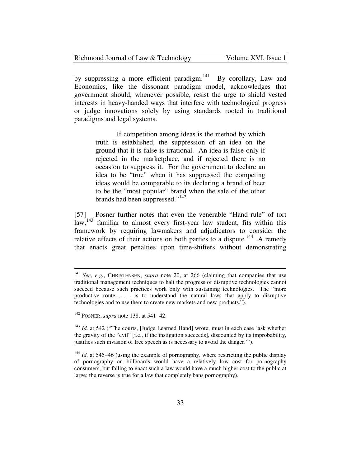| Richmond Journal of Law & Technology | Volume XVI, Issue 1 |
|--------------------------------------|---------------------|
|--------------------------------------|---------------------|

by suppressing a more efficient paradigm.<sup>141</sup> By corollary, Law and Economics, like the dissonant paradigm model, acknowledges that government should, whenever possible, resist the urge to shield vested interests in heavy-handed ways that interfere with technological progress or judge innovations solely by using standards rooted in traditional paradigms and legal systems.

> If competition among ideas is the method by which truth is established, the suppression of an idea on the ground that it is false is irrational. An idea is false only if rejected in the marketplace, and if rejected there is no occasion to suppress it. For the government to declare an idea to be "true" when it has suppressed the competing ideas would be comparable to its declaring a brand of beer to be the "most popular" brand when the sale of the other brands had been suppressed."<sup>142</sup>

[57] Posner further notes that even the venerable "Hand rule" of tort law,<sup>143</sup> familiar to almost every first-year law student, fits within this framework by requiring lawmakers and adjudicators to consider the relative effects of their actions on both parties to a dispute.<sup>144</sup> A remedy that enacts great penalties upon time-shifters without demonstrating

<sup>141</sup> *See, e.g.*, CHRISTENSEN, *supra* note 20, at 266 (claiming that companies that use traditional management techniques to halt the progress of disruptive technologies cannot succeed because such practices work only with sustaining technologies. The "more productive route . . . is to understand the natural laws that apply to disruptive technologies and to use them to create new markets and new products.").

<sup>142</sup> POSNER, *supra* note 138, at 541−42.

<sup>&</sup>lt;sup>143</sup> *Id.* at 542 ("The courts, [Judge Learned Hand] wrote, must in each case 'ask whether the gravity of the "evil" [i.e., if the instigation succeeds], discounted by its improbability, justifies such invasion of free speech as is necessary to avoid the danger.'").

<sup>&</sup>lt;sup>144</sup> *Id.* at 545–46 (using the example of pornography, where restricting the public display of pornography on billboards would have a relatively low cost for pornography consumers, but failing to enact such a law would have a much higher cost to the public at large; the reverse is true for a law that completely bans pornography).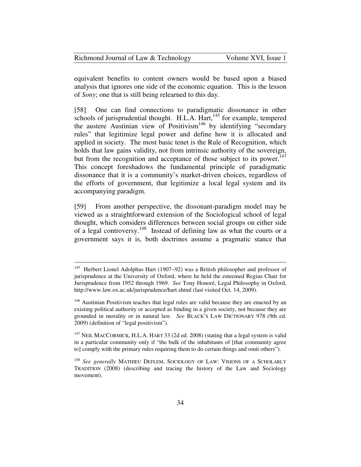| Richmond Journal of Law & Technology | Volume XVI, Issue 1 |
|--------------------------------------|---------------------|
|--------------------------------------|---------------------|

equivalent benefits to content owners would be based upon a biased analysis that ignores one side of the economic equation. This is the lesson of *Sony*; one that is still being relearned to this day.

[58] One can find connections to paradigmatic dissonance in other schools of jurisprudential thought. H.L.A. Hart,<sup>145</sup> for example, tempered the austere Austinian view of Positivism<sup>146</sup> by identifying "secondary rules" that legitimize legal power and define how it is allocated and applied in society. The most basic tenet is the Rule of Recognition, which holds that law gains validity, not from intrinsic authority of the sovereign, but from the recognition and acceptance of those subject to its power.<sup>147</sup> This concept foreshadows the fundamental principle of paradigmatic dissonance that it is a community's market-driven choices, regardless of the efforts of government, that legitimize a local legal system and its accompanying paradigm.

[59] From another perspective, the dissonant-paradigm model may be viewed as a straightforward extension of the Sociological school of legal thought, which considers differences between social groups on either side of a legal controversy.<sup>148</sup> Instead of defining law as what the courts or a government says it is, both doctrines assume a pragmatic stance that

l

<sup>145</sup> Herbert Lionel Adolphus Hart (1907−92) was a British philosopher and professor of jurisprudence at the University of Oxford, where he held the esteemed Regius Chair for Jurisprudence from 1952 through 1969. *See* Tony Honoré, Legal Philosophy in Oxford, http://www.law.ox.ac.uk/jurisprudence/hart.shtml (last visited Oct. 14, 2009).

<sup>&</sup>lt;sup>146</sup> Austinian Positivism teaches that legal rules are valid because they are enacted by an existing political authority or accepted as binding in a given society, not because they are grounded in morality or in natural law. *See* BLACK'S LAW DICTIONARY 978 (9th ed. 2009) (definition of "legal positivism").

<sup>&</sup>lt;sup>147</sup> NEIL MACCORMICK, H.L.A. HART 33 (2d ed. 2008) (stating that a legal system is valid in a particular community only if "the bulk of the inhabitants of [that community agree to] comply with the primary rules requiring them to do certain things and omit others").

<sup>148</sup> *See generally* MATHIEU DEFLEM, SOCIOLOGY OF LAW: VISIONS OF A SCHOLARLY TRADITION (2008) (describing and tracing the history of the Law and Sociology movement).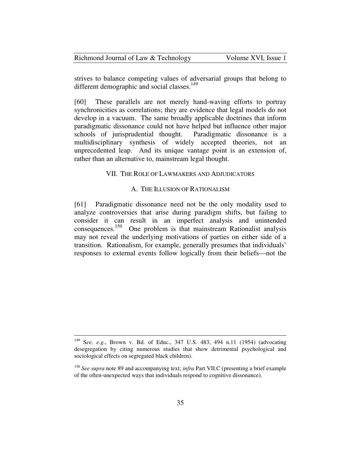| Richmond Journal of Law & Technology | Volume XVI, Issue 1 |
|--------------------------------------|---------------------|
|--------------------------------------|---------------------|

strives to balance competing values of adversarial groups that belong to different demographic and social classes.<sup>149</sup>

[60] These parallels are not merely hand-waving efforts to portray synchronicities as correlations; they are evidence that legal models do not develop in a vacuum. The same broadly applicable doctrines that inform paradigmatic dissonance could not have helped but influence other major schools of jurisprudential thought. Paradigmatic dissonance is a multidisciplinary synthesis of widely accepted theories, not an unprecedented leap. And its unique vantage point is an extension of, rather than an alternative to, mainstream legal thought.

## VII. THE ROLE OF LAWMAKERS AND ADJUDICATORS

### A. THE ILLUSION OF RATIONALISM

[61] Paradigmatic dissonance need not be the only modality used to analyze controversies that arise during paradigm shifts, but failing to consider it can result in an imperfect analysis and unintended consequences.<sup>150</sup> One problem is that mainstream Rationalist analysis may not reveal the underlying motivations of parties on either side of a transition. Rationalism, for example, generally presumes that individuals' responses to external events follow logically from their beliefs—not the

<sup>149</sup> S*ee, e.g.*, Brown v. Bd. of Educ., 347 U.S. 483, 494 n.11 (1954) (advocating desegregation by citing numerous studies that show detrimental psychological and sociological effects on segregated black children).

<sup>150</sup> *See supra* note 89 and accompanying text; *infra* Part VII.C (presenting a brief example of the often-unexpected ways that individuals respond to cognitive dissonance).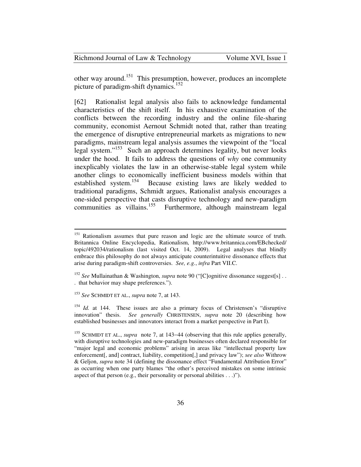other way around.<sup>151</sup> This presumption, however, produces an incomplete picture of paradigm-shift dynamics.<sup>152</sup>

[62] Rationalist legal analysis also fails to acknowledge fundamental characteristics of the shift itself. In his exhaustive examination of the conflicts between the recording industry and the online file-sharing community, economist Aernout Schmidt noted that, rather than treating the emergence of disruptive entrepreneurial markets as migrations to new paradigms, mainstream legal analysis assumes the viewpoint of the "local legal system."<sup>153</sup> Such an approach determines legality, but never looks under the hood. It fails to address the questions of *why* one community inexplicably violates the law in an otherwise-stable legal system while another clings to economically inefficient business models within that established system.<sup>154</sup> Because existing laws are likely wedded to traditional paradigms, Schmidt argues, Rationalist analysis encourages a one-sided perspective that casts disruptive technology and new-paradigm communities as villains.<sup>155</sup> Furthermore, although mainstream legal

<sup>&</sup>lt;sup>151</sup> Rationalism assumes that pure reason and logic are the ultimate source of truth. Britannica Online Encyclopedia, Rationalism, http://www.britannica.com/EBchecked/ topic/492034/rationalism (last visited Oct. 14, 2009). Legal analyses that blindly embrace this philosophy do not always anticipate counterintuitive dissonance effects that arise during paradigm-shift controversies. *See, e.g.*, *infra* Part VII.C.

<sup>&</sup>lt;sup>152</sup> See Mullainathan & Washington, *supra* note 90 ("[C]ognitive dissonance suggest[s] . . . that behavior may shape preferences.").

<sup>153</sup> *See* SCHMIDT ET AL., *supra* note 7, at 143.

<sup>&</sup>lt;sup>154</sup> *Id.* at 144. These issues are also a primary focus of Christensen's "disruptive innovation" thesis. *See generally* CHRISTENSEN, *supra* note 20 (describing how established businesses and innovators interact from a market perspective in Part I).

<sup>155</sup> SCHMIDT ET AL., *supra* note 7, at 143−44 (observing that this rule applies generally, with disruptive technologies and new-paradigm businesses often declared responsible for "major legal and economic problems" arising in areas like "intellectual property law enforcement[, and] contract, liability, competition[,] and privacy law"); *see also* Withrow & Geljon, *supra* note 34 (defining the dissonance effect "Fundamental Attribution Error" as occurring when one party blames "the other's perceived mistakes on some intrinsic aspect of that person (e.g., their personality or personal abilities  $\dots$ )").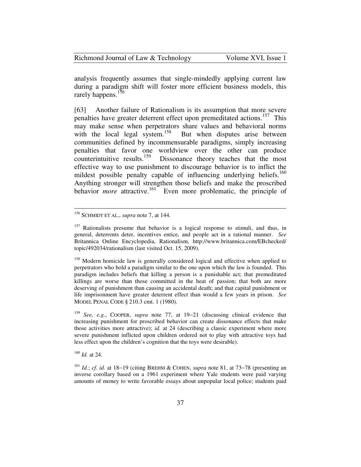| Richmond Journal of Law & Technology | Volume XVI, Issue 1 |
|--------------------------------------|---------------------|
|--------------------------------------|---------------------|

analysis frequently assumes that single-mindedly applying current law during a paradigm shift will foster more efficient business models, this rarely happens.<sup>156</sup>

[63] Another failure of Rationalism is its assumption that more severe penalties have greater deterrent effect upon premeditated actions.<sup>157</sup> This may make sense when perpetrators share values and behavioral norms with the local legal system.<sup>158</sup> But when disputes arise between communities defined by incommensurable paradigms, simply increasing penalties that favor one worldview over the other can produce counterintuitive results.<sup>159</sup> Dissonance theory teaches that the most effective way to use punishment to discourage behavior is to inflict the mildest possible penalty capable of influencing underlying beliefs.<sup>160</sup> Anything stronger will strengthen those beliefs and make the proscribed behavior *more* attractive.<sup>161</sup> Even more problematic, the principle of

<sup>160</sup> *Id.* at 24.

<sup>156</sup> SCHMIDT ET AL., *supra* note 7, at 144.

 $157$  Rationalists presume that behavior is a logical response to stimuli, and thus, in general, deterrents deter, incentives entice, and people act in a rational manner. *See* Britannica Online Encyclopedia, Rationalism, http://www.britannica.com/EBchecked/ topic/492034/rationalism (last visited Oct. 15, 2009).

<sup>&</sup>lt;sup>158</sup> Modern homicide law is generally considered logical and effective when applied to perpetrators who hold a paradigm similar to the one upon which the law is founded. This paradigm includes beliefs that killing a person is a punishable act; that premeditated killings are worse than those committed in the heat of passion; that both are more deserving of punishment than causing an accidental death; and that capital punishment or life imprisonment have greater deterrent effect than would a few years in prison. *See* MODEL PENAL CODE § 210.3 cmt. 1 (1980).

<sup>159</sup> *See, e.g.*, COOPER, *supra* note 77, at 19−21 (discussing clinical evidence that increasing punishment for proscribed behavior can create dissonance effects that make those activities more attractive); *id.* at 24 (describing a classic experiment where more severe punishment inflicted upon children ordered not to play with attractive toys had less effect upon the children's cognition that the toys were desirable).

<sup>161</sup> *Id.*; *cf. id.* at 18−19 (citing BREHM & COHEN, *supra* note 81, at 73−78 (presenting an inverse corollary based on a 1961 experiment where Yale students were paid varying amounts of money to write favorable essays about unpopular local police; students paid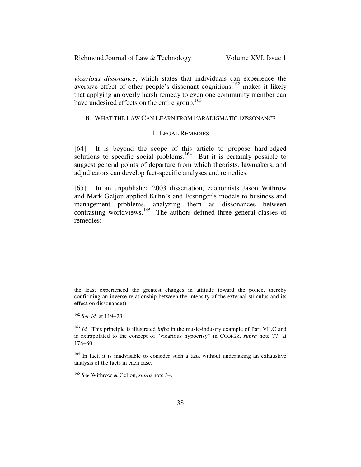| Richmond Journal of Law & Technology | Volume XVI, Issue 1 |
|--------------------------------------|---------------------|
|--------------------------------------|---------------------|

*vicarious dissonance*, which states that individuals can experience the aversive effect of other people's dissonant cognitions,<sup>162</sup> makes it likely that applying an overly harsh remedy to even one community member can have undesired effects on the entire group.<sup>163</sup>

## B. WHAT THE LAW CAN LEARN FROM PARADIGMATIC DISSONANCE

## 1. LEGAL REMEDIES

[64] It is beyond the scope of this article to propose hard-edged solutions to specific social problems.<sup>164</sup> But it is certainly possible to suggest general points of departure from which theorists, lawmakers, and adjudicators can develop fact-specific analyses and remedies.

[65] In an unpublished 2003 dissertation, economists Jason Withrow and Mark Geljon applied Kuhn's and Festinger's models to business and management problems, analyzing them as dissonances between contrasting worldviews.<sup>165</sup> The authors defined three general classes of remedies:

the least experienced the greatest changes in attitude toward the police, thereby confirming an inverse relationship between the intensity of the external stimulus and its effect on dissonance)).

<sup>162</sup> *See id.* at 119−23.

<sup>163</sup> *Id.* This principle is illustrated *infra* in the music-industry example of Part VII.C and is extrapolated to the concept of "vicarious hypocrisy" in COOPER, *supra* note 77, at 178−80.

<sup>&</sup>lt;sup>164</sup> In fact, it is inadvisable to consider such a task without undertaking an exhaustive analysis of the facts in each case.

<sup>165</sup> *See* Withrow & Geljon, *supra* note 34.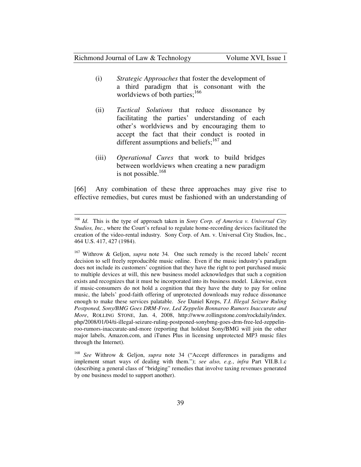#### Richmond Journal of Law & Technology Volume XVI, Issue 1

 $\overline{a}$ 

- (i) *Strategic Approaches* that foster the development of a third paradigm that is consonant with the worldviews of both parties;<sup>166</sup>
- (ii) *Tactical Solutions* that reduce dissonance by facilitating the parties' understanding of each other's worldviews and by encouraging them to accept the fact that their conduct is rooted in different assumptions and beliefs; $167$  and
- (iii) *Operational Cures* that work to build bridges between worldviews when creating a new paradigm is not possible. $168$

[66] Any combination of these three approaches may give rise to effective remedies, but cures must be fashioned with an understanding of

<sup>166</sup> *Id*. This is the type of approach taken in *Sony Corp. of America v. Universal City Studios, Inc.*, where the Court's refusal to regulate home-recording devices facilitated the creation of the video-rental industry*.* Sony Corp. of Am. v. Universal City Studios, Inc., 464 U.S. 417, 427 (1984).

<sup>167</sup> Withrow & Geljon, *supra* note 34*.* One such remedy is the record labels' recent decision to sell freely reproducible music online. Even if the music industry's paradigm does not include its customers' cognition that they have the right to port purchased music to multiple devices at will, this new business model acknowledges that such a cognition exists and recognizes that it must be incorporated into its business model. Likewise, even if music-consumers do not hold a cognition that they have the duty to pay for online music, the labels' good-faith offering of unprotected downloads may reduce dissonance enough to make these services palatable. *See* Daniel Kreps, *T.I. Illegal Seizure Ruling Postponed, Sony/BMG Goes DRM-Free, Led Zeppelin Bonnaroo Rumors Inaccurate and More*, ROLLING STONE, Jan. 4, 2008, http://www.rollingstone.com/rockdaily/index. php/2008/01/04/ti-illegal-seizure-ruling-postponed-sonybmg-goes-drm-free-led-zeppelinroo-rumors-inaccurate-and-more (reporting that holdout Sony/BMG will join the other major labels, Amazon.com, and iTunes Plus in licensing unprotected MP3 music files through the Internet).

<sup>168</sup> *See* Withrow & Geljon, *supra* note 34 ("Accept differences in paradigms and implement smart ways of dealing with them."); *see also, e.g.*, *infra* Part VII.B.1.c (describing a general class of "bridging" remedies that involve taxing revenues generated by one business model to support another).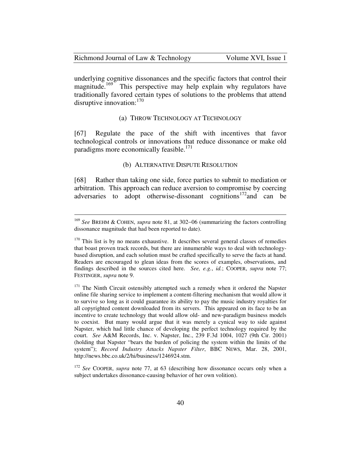| Richmond Journal of Law & Technology | Volume XVI, Issue 1 |
|--------------------------------------|---------------------|
|--------------------------------------|---------------------|

underlying cognitive dissonances and the specific factors that control their magnitude.<sup>169</sup> This perspective may help explain why regulators have This perspective may help explain why regulators have traditionally favored certain types of solutions to the problems that attend disruptive innovation: $170$ 

#### (a) THROW TECHNOLOGY AT TECHNOLOGY

[67] Regulate the pace of the shift with incentives that favor technological controls or innovations that reduce dissonance or make old paradigms more economically feasible.<sup>171</sup>

#### (b) ALTERNATIVE DISPUTE RESOLUTION

[68] Rather than taking one side, force parties to submit to mediation or arbitration. This approach can reduce aversion to compromise by coercing adversaries to adopt otherwise-dissonant cognitions<sup>172</sup> and can be

<sup>169</sup> *See* BREHM & COHEN, *supra* note 81, at 302−06 (summarizing the factors controlling dissonance magnitude that had been reported to date).

 $170$  This list is by no means exhaustive. It describes several general classes of remedies that boast proven track records, but there are innumerable ways to deal with technologybased disruption, and each solution must be crafted specifically to serve the facts at hand. Readers are encouraged to glean ideas from the scores of examples, observations, and findings described in the sources cited here. *See, e.g.*, *id.*; COOPER, *supra* note 77; FESTINGER, *supra* note 9.

<sup>&</sup>lt;sup>171</sup> The Ninth Circuit ostensibly attempted such a remedy when it ordered the Napster online file sharing service to implement a content-filtering mechanism that would allow it to survive so long as it could guarantee its ability to pay the music industry royalties for all copyrighted content downloaded from its servers. This appeared on its face to be an incentive to create technology that would allow old- and new-paradigm business models to coexist. But many would argue that it was merely a cynical way to side against Napster, which had little chance of developing the perfect technology required by the court. *See* A&M Records, Inc. v. Napster, Inc., 239 F.3d 1004, 1027 (9th Cir. 2001) (holding that Napster "bears the burden of policing the system within the limits of the system"); *Record Industry Attacks Napster Filter*, BBC NEWS, Mar. 28, 2001, http://news.bbc.co.uk/2/hi/business/1246924.stm.

<sup>172</sup> *See* COOPER, *supra* note 77, at 63 (describing how dissonance occurs only when a subject undertakes dissonance-causing behavior of her own volition).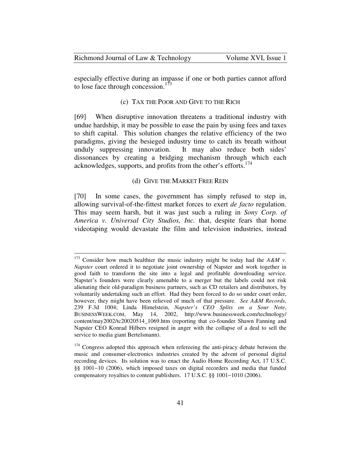especially effective during an impasse if one or both parties cannot afford to lose face through concession.<sup>173</sup>

### (c) TAX THE POOR AND GIVE TO THE RICH

[69] When disruptive innovation threatens a traditional industry with undue hardship, it may be possible to ease the pain by using fees and taxes to shift capital. This solution changes the relative efficiency of the two paradigms, giving the besieged industry time to catch its breath without unduly suppressing innovation. It may also reduce both sides' dissonances by creating a bridging mechanism through which each acknowledges, supports, and profits from the other's efforts.<sup>174</sup>

#### (d) GIVE THE MARKET FREE REIN

[70] In some cases, the government has simply refused to step in, allowing survival-of-the-fittest market forces to exert *de facto* regulation. This may seem harsh, but it was just such a ruling in *Sony Corp. of America v. Universal City Studios, Inc.* that, despite fears that home videotaping would devastate the film and television industries, instead

<sup>&</sup>lt;sup>173</sup> Consider how much healthier the music industry might be today had the  $A \& M v$ . *Napster* court ordered it to negotiate joint ownership of Napster and work together in good faith to transform the site into a legal and profitable downloading service. Napster's founders were clearly amenable to a merger but the labels could not risk alienating their old-paradigm business partners, such as CD retailers and distributors, by voluntarily undertaking such an effort. Had they been forced to do so under court order, however, they might have been relieved of much of that pressure. *See A&M Records*, 239 F.3d 1004; Linda Himelstein, *Napster's CEO Splits on a Sour Note*, BUSINESSWEEK.COM, May 14, 2002, http://www.businessweek.com/technology/ content/may2002/tc20020514\_1069.htm (reporting that co-founder Shawn Fanning and Napster CEO Konrad Hilbers resigned in anger with the collapse of a deal to sell the service to media giant Bertelsmann).

<sup>&</sup>lt;sup>174</sup> Congress adopted this approach when refereeing the anti-piracy debate between the music and consumer-electronics industries created by the advent of personal digital recording devices. Its solution was to enact the Audio Home Recording Act, 17 U.S.C. §§ 1001−10 (2006), which imposed taxes on digital recorders and media that funded compensatory royalties to content publishers. 17 U.S.C. §§ 1001−1010 (2006).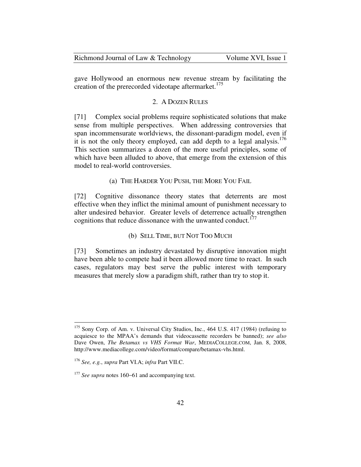Richmond Journal of Law & Technology Volume XVI, Issue 1

gave Hollywood an enormous new revenue stream by facilitating the creation of the prerecorded videotape aftermarket.<sup>175</sup>

## 2. A DOZEN RULES

[71] Complex social problems require sophisticated solutions that make sense from multiple perspectives. When addressing controversies that span incommensurate worldviews, the dissonant-paradigm model, even if it is not the only theory employed, can add depth to a legal analysis.<sup>176</sup> This section summarizes a dozen of the more useful principles, some of which have been alluded to above, that emerge from the extension of this model to real-world controversies.

(a) THE HARDER YOU PUSH, THE MORE YOU FAIL

[72] Cognitive dissonance theory states that deterrents are most effective when they inflict the minimal amount of punishment necessary to alter undesired behavior. Greater levels of deterrence actually strengthen cognitions that reduce dissonance with the unwanted conduct.<sup>177</sup>

(b) SELL TIME, BUT NOT TOO MUCH

[73] Sometimes an industry devastated by disruptive innovation might have been able to compete had it been allowed more time to react. In such cases, regulators may best serve the public interest with temporary measures that merely slow a paradigm shift, rather than try to stop it.

<sup>175</sup> Sony Corp. of Am. v. Universal City Studios, Inc., 464 U.S. 417 (1984) (refusing to acquiesce to the MPAA's demands that videocassette recorders be banned); *see also* Dave Owen, *The Betamax vs VHS Format War*, MEDIACOLLEGE.COM, Jan. 8, 2008, http://www.mediacollege.com/video/format/compare/betamax-vhs.html.

<sup>176</sup> *See, e.g.*, *supra* Part VI.A; *infra* Part VII.C.

<sup>177</sup> *See supra* notes 160−61 and accompanying text.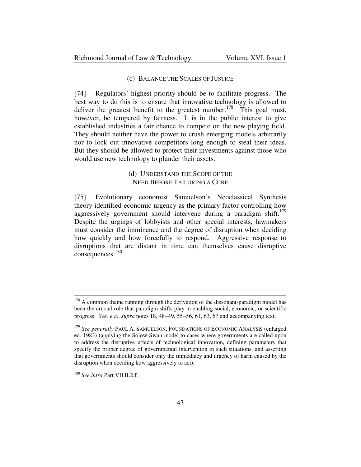### (c) BALANCE THE SCALES OF JUSTICE

[74] Regulators' highest priority should be to facilitate progress. The best way to do this is to ensure that innovative technology is allowed to deliver the greatest benefit to the greatest number.<sup>178</sup> This goal must, however, be tempered by fairness. It is in the public interest to give established industries a fair chance to compete on the new playing field. They should neither have the power to crush emerging models arbitrarily nor to lock out innovative competitors long enough to steal their ideas. But they should be allowed to protect their investments against those who would use new technology to plunder their assets.

## (d) UNDERSTAND THE SCOPE OF THE NEED BEFORE TAILORING A CURE

[75] Evolutionary economist Samuelson's Neoclassical Synthesis theory identified economic urgency as the primary factor controlling how aggressively government should intervene during a paradigm shift.<sup>179</sup> Despite the urgings of lobbyists and other special interests, lawmakers must consider the imminence and the degree of disruption when deciding how quickly and how forcefully to respond. Aggressive response to disruptions that are distant in time can themselves cause disruptive consequences.<sup>180</sup>

 $178$  A common theme running through the derivation of the dissonant-paradigm model has been the crucial role that paradigm shifts play in enabling social, economic, or scientific progress. *See, e.g.*, *supra* notes 18, 48−49, 55−56, 61, 63, 67 and accompanying text.

<sup>179</sup> *See generally* PAUL A. SAMUELSON, FOUNDATIONS OF ECONOMIC ANALYSIS (enlarged ed. 1983) (applying the Solow-Swan model to cases where governments are called upon to address the disruptive effects of technological innovation, defining parameters that specify the proper degree of governmental intervention in such situations, and asserting that governments should consider only the immediacy and urgency of harm caused by the disruption when deciding how aggressively to act).

<sup>180</sup> *See infra* Part VII.B.2.f.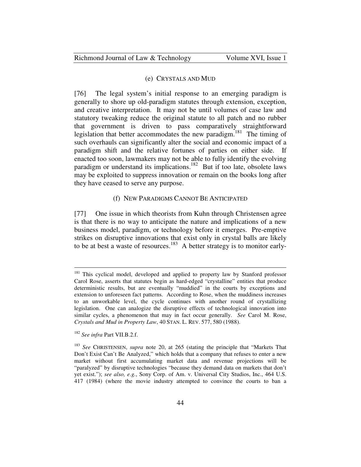#### (e) CRYSTALS AND MUD

[76] The legal system's initial response to an emerging paradigm is generally to shore up old-paradigm statutes through extension, exception, and creative interpretation. It may not be until volumes of case law and statutory tweaking reduce the original statute to all patch and no rubber that government is driven to pass comparatively straightforward legislation that better accommodates the new paradigm.<sup>181</sup> The timing of such overhauls can significantly alter the social and economic impact of a paradigm shift and the relative fortunes of parties on either side. If enacted too soon, lawmakers may not be able to fully identify the evolving paradigm or understand its implications.<sup>182</sup> But if too late, obsolete laws may be exploited to suppress innovation or remain on the books long after they have ceased to serve any purpose.

### (f) NEW PARADIGMS CANNOT BE ANTICIPATED

[77] One issue in which theorists from Kuhn through Christensen agree is that there is no way to anticipate the nature and implications of a new business model, paradigm, or technology before it emerges. Pre-emptive strikes on disruptive innovations that exist only in crystal balls are likely to be at best a waste of resources.<sup>183</sup> A better strategy is to monitor early-

<sup>181</sup> This cyclical model, developed and applied to property law by Stanford professor Carol Rose, asserts that statutes begin as hard-edged "crystalline" entities that produce deterministic results, but are eventually "muddied" in the courts by exceptions and extension to unforeseen fact patterns. According to Rose, when the muddiness increases to an unworkable level, the cycle continues with another round of crystallizing legislation. One can analogize the disruptive effects of technological innovation into similar cycles, a phenomenon that may in fact occur generally. *See* Carol M. Rose, *Crystals and Mud in Property Law*, 40 STAN. L. REV. 577, 580 (1988).

<sup>182</sup> *See infra* Part VII.B.2.f.

<sup>183</sup> *See* CHRISTENSEN, *supra* note 20, at 265 (stating the principle that "Markets That Don't Exist Can't Be Analyzed," which holds that a company that refuses to enter a new market without first accumulating market data and revenue projections will be "paralyzed" by disruptive technologies "because they demand data on markets that don't yet exist."); *see also, e.g.*, Sony Corp. of Am. v. Universal City Studios, Inc., 464 U.S. 417 (1984) (where the movie industry attempted to convince the courts to ban a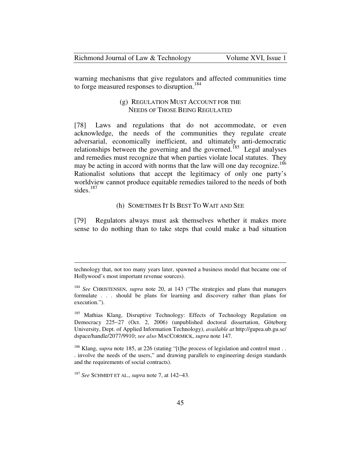warning mechanisms that give regulators and affected communities time to forge measured responses to disruption.<sup>184</sup>

## (g) REGULATION MUST ACCOUNT FOR THE NEEDS OF THOSE BEING REGULATED

[78] Laws and regulations that do not accommodate, or even acknowledge, the needs of the communities they regulate create adversarial, economically inefficient, and ultimately anti-democratic relationships between the governing and the governed.<sup>185</sup> Legal analyses and remedies must recognize that when parties violate local statutes. They may be acting in accord with norms that the law will one day recognize.<sup>186</sup> Rationalist solutions that accept the legitimacy of only one party's worldview cannot produce equitable remedies tailored to the needs of both sides.<sup>187</sup>

### (h) SOMETIMES IT IS BEST TO WAIT AND SEE

[79] Regulators always must ask themselves whether it makes more sense to do nothing than to take steps that could make a bad situation

<u>.</u>

technology that, not too many years later, spawned a business model that became one of Hollywood's most important revenue sources).

<sup>184</sup> *See* CHRISTENSEN, *supra* note 20, at 143 ("The strategies and plans that managers formulate . . . should be plans for learning and discovery rather than plans for execution.").

<sup>&</sup>lt;sup>185</sup> Mathias Klang, Disruptive Technology: Effects of Technology Regulation on Democracy 225−27 (Oct. 2, 2006) (unpublished doctoral dissertation, Göteborg University, Dept. of Applied Information Technology), *available at* http://gupea.ub.gu.se/ dspace/handle/2077/9910; *see also* MACCORMICK, *supra* note 147.

<sup>&</sup>lt;sup>186</sup> Klang, *supra* note 185, at 226 (stating "[t]he process of legislation and control must . . . involve the needs of the users," and drawing parallels to engineering design standards and the requirements of social contracts).

<sup>187</sup> *See* SCHMIDT ET AL., *supra* note 7, at 142−43.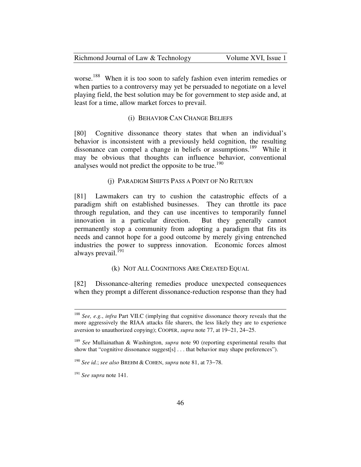| Richmond Journal of Law & Technology | Volume XVI, Issue 1 |
|--------------------------------------|---------------------|
|--------------------------------------|---------------------|

worse.<sup>188</sup> When it is too soon to safely fashion even interim remedies or when parties to a controversy may yet be persuaded to negotiate on a level playing field, the best solution may be for government to step aside and, at least for a time, allow market forces to prevail.

#### (i) BEHAVIOR CAN CHANGE BELIEFS

[80] Cognitive dissonance theory states that when an individual's behavior is inconsistent with a previously held cognition, the resulting dissonance can compel a change in beliefs or assumptions.<sup>189</sup> While it may be obvious that thoughts can influence behavior, conventional analyses would not predict the opposite to be true.<sup>190</sup>

### (j) PARADIGM SHIFTS PASS A POINT OF NO RETURN

[81] Lawmakers can try to cushion the catastrophic effects of a paradigm shift on established businesses. They can throttle its pace through regulation, and they can use incentives to temporarily funnel innovation in a particular direction. But they generally cannot permanently stop a community from adopting a paradigm that fits its needs and cannot hope for a good outcome by merely giving entrenched industries the power to suppress innovation. Economic forces almost always prevail.<sup>191</sup>

#### (k) NOT ALL COGNITIONS ARE CREATED EQUAL

[82] Dissonance-altering remedies produce unexpected consequences when they prompt a different dissonance-reduction response than they had

<sup>188</sup> *See, e.g.*, *infra* Part VII.C (implying that cognitive dissonance theory reveals that the more aggressively the RIAA attacks file sharers, the less likely they are to experience aversion to unauthorized copying); COOPER, *supra* note 77, at 19−21, 24−25.

<sup>189</sup> *See* Mullainathan & Washington, *supra* note 90 (reporting experimental results that show that "cognitive dissonance suggest[s] . . . that behavior may shape preferences").

<sup>190</sup> *See id.*; *see also* BREHM & COHEN, *supra* note 81, at 73−78.

<sup>191</sup> *See supra* note 141.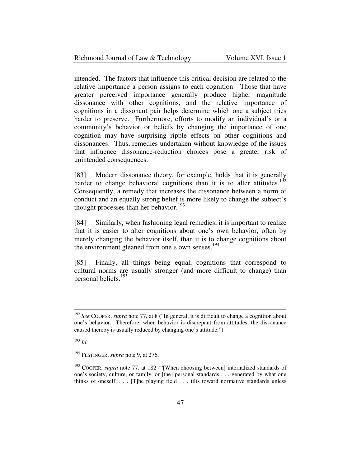| Richmond Journal of Law & Technology | Volume XVI, Issue 1 |
|--------------------------------------|---------------------|
|--------------------------------------|---------------------|

intended. The factors that influence this critical decision are related to the relative importance a person assigns to each cognition. Those that have greater perceived importance generally produce higher magnitude dissonance with other cognitions, and the relative importance of cognitions in a dissonant pair helps determine which one a subject tries harder to preserve. Furthermore, efforts to modify an individual's or a community's behavior or beliefs by changing the importance of one cognition may have surprising ripple effects on other cognitions and dissonances. Thus, remedies undertaken without knowledge of the issues that influence dissonance-reduction choices pose a greater risk of unintended consequences.

[83] Modern dissonance theory, for example, holds that it is generally harder to change behavioral cognitions than it is to alter attitudes.<sup>192</sup> Consequently, a remedy that increases the dissonance between a norm of conduct and an equally strong belief is more likely to change the subject's thought processes than her behavior.<sup>193</sup>

[84] Similarly, when fashioning legal remedies, it is important to realize that it is easier to alter cognitions about one's own behavior, often by merely changing the behavior itself, than it is to change cognitions about the environment gleaned from one's own senses.<sup>194</sup>

[85] Finally, all things being equal, cognitions that correspond to cultural norms are usually stronger (and more difficult to change) than personal beliefs.<sup>195</sup>

<sup>193</sup> *Id.*

<sup>192</sup> *See* COOPER, *supra* note 77, at 8 ("In general, it is difficult to change a cognition about one's behavior. Therefore, when behavior is discrepant from attitudes, the dissonance caused thereby is usually reduced by changing one's attitude.").

<sup>194</sup> FESTINGER, *supra* note 9, at 276.

<sup>&</sup>lt;sup>195</sup> COOPER, *supra* note 77, at 182 ("[When choosing between] internalized standards of one's society, culture, or family, or [the] personal standards . . . generated by what one thinks of oneself. . . . [T]he playing field . . . tilts toward normative standards unless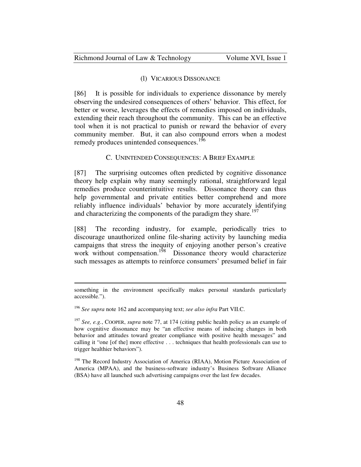#### (l) VICARIOUS DISSONANCE

[86] It is possible for individuals to experience dissonance by merely observing the undesired consequences of others' behavior. This effect, for better or worse, leverages the effects of remedies imposed on individuals, extending their reach throughout the community. This can be an effective tool when it is not practical to punish or reward the behavior of every community member. But, it can also compound errors when a modest remedy produces unintended consequences.<sup>196</sup>

#### C. UNINTENDED CONSEQUENCES: A BRIEF EXAMPLE

[87] The surprising outcomes often predicted by cognitive dissonance theory help explain why many seemingly rational, straightforward legal remedies produce counterintuitive results. Dissonance theory can thus help governmental and private entities better comprehend and more reliably influence individuals' behavior by more accurately identifying and characterizing the components of the paradigm they share.<sup>197</sup>

[88] The recording industry, for example, periodically tries to discourage unauthorized online file-sharing activity by launching media campaigns that stress the inequity of enjoying another person's creative work without compensation.<sup>198</sup> Dissonance theory would characterize such messages as attempts to reinforce consumers' presumed belief in fair

something in the environment specifically makes personal standards particularly accessible.").

<sup>196</sup> *See supra* note 162 and accompanying text; *see also infra* Part VII.C.

<sup>197</sup> *See, e.g.*, COOPER, *supra* note 77, at 174 (citing public health policy as an example of how cognitive dissonance may be "an effective means of inducing changes in both behavior and attitudes toward greater compliance with positive health messages" and calling it "one [of the] more effective . . . techniques that health professionals can use to trigger healthier behaviors").

<sup>&</sup>lt;sup>198</sup> The Record Industry Association of America (RIAA), Motion Picture Association of America (MPAA), and the business-software industry's Business Software Alliance (BSA) have all launched such advertising campaigns over the last few decades.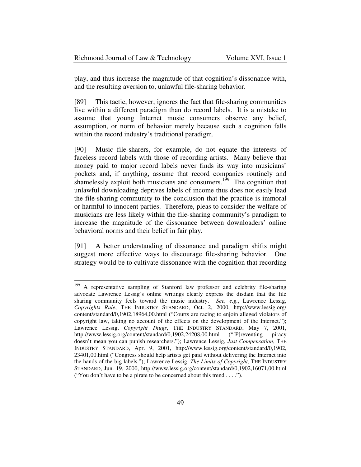| Richmond Journal of Law & Technology | Volume XVI, Issue 1 |
|--------------------------------------|---------------------|
|--------------------------------------|---------------------|

play, and thus increase the magnitude of that cognition's dissonance with, and the resulting aversion to, unlawful file-sharing behavior.

[89] This tactic, however, ignores the fact that file-sharing communities live within a different paradigm than do record labels. It is a mistake to assume that young Internet music consumers observe any belief, assumption, or norm of behavior merely because such a cognition falls within the record industry's traditional paradigm.

[90] Music file-sharers, for example, do not equate the interests of faceless record labels with those of recording artists. Many believe that money paid to major record labels never finds its way into musicians' pockets and, if anything, assume that record companies routinely and shamelessly exploit both musicians and consumers.<sup>199</sup> The cognition that unlawful downloading deprives labels of income thus does not easily lead the file-sharing community to the conclusion that the practice is immoral or harmful to innocent parties. Therefore, pleas to consider the welfare of musicians are less likely within the file-sharing community's paradigm to increase the magnitude of the dissonance between downloaders' online behavioral norms and their belief in fair play.

[91] A better understanding of dissonance and paradigm shifts might suggest more effective ways to discourage file-sharing behavior. One strategy would be to cultivate dissonance with the cognition that recording

<u>.</u>

<sup>&</sup>lt;sup>199</sup> A representative sampling of Stanford law professor and celebrity file-sharing advocate Lawrence Lessig's online writings clearly express the disdain that the file sharing community feels toward the music industry. *See, e.g.*, Lawrence Lessig, *Copyrights Rule*, THE INDUSTRY STANDARD, Oct. 2, 2000, http://www.lessig.org/ content/standard/0,1902,18964,00.html ("Courts are racing to enjoin alleged violators of copyright law, taking no account of the effects on the development of the Internet."); Lawrence Lessig, *Copyright Thugs*, THE INDUSTRY STANDARD, May 7, 2001, http://www.lessig.org/content/standard/0,1902,24208,00.html ("[P]reventing piracy doesn't mean you can punish researchers."); Lawrence Lessig, *Just Compensation*, THE INDUSTRY STANDARD, Apr. 9, 2001, http://www.lessig.org/content/standard/0,1902, 23401,00.html ("Congress should help artists get paid without delivering the Internet into the hands of the big labels."); Lawrence Lessig, *The Limits of Copyright*, THE INDUSTRY STANDARD, Jun. 19, 2000, http://www.lessig.org/content/standard/0,1902,16071,00.html ("You don't have to be a pirate to be concerned about this trend . . . .").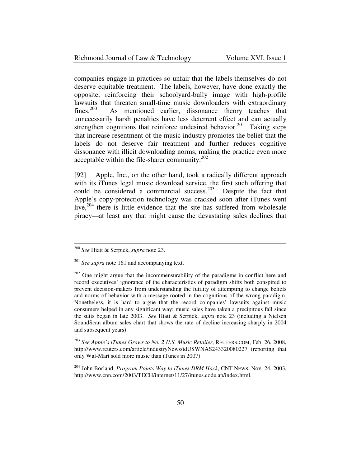| Richmond Journal of Law & Technology | Volume XVI, Issue 1 |
|--------------------------------------|---------------------|
|--------------------------------------|---------------------|

companies engage in practices so unfair that the labels themselves do not deserve equitable treatment. The labels, however, have done exactly the opposite, reinforcing their schoolyard-bully image with high-profile lawsuits that threaten small-time music downloaders with extraordinary<br>fines.<sup>200</sup> As mentioned earlier, dissonance theory teaches that As mentioned earlier, dissonance theory teaches that unnecessarily harsh penalties have less deterrent effect and can actually strengthen cognitions that reinforce undesired behavior.<sup>201</sup> Taking steps that increase resentment of the music industry promotes the belief that the labels do not deserve fair treatment and further reduces cognitive dissonance with illicit downloading norms, making the practice even more acceptable within the file-sharer community.<sup>202</sup>

[92] Apple, Inc., on the other hand, took a radically different approach with its iTunes legal music download service, the first such offering that could be considered a commercial success.<sup>203</sup> Despite the fact that Apple's copy-protection technology was cracked soon after iTunes went live,<sup>204</sup> there is little evidence that the site has suffered from wholesale piracy—at least any that might cause the devastating sales declines that

<sup>200</sup> *See* Hiatt & Serpick, *supra* note 23.

<sup>201</sup> *See supra* note 161 and accompanying text.

 $202$  One might argue that the incommensurability of the paradigms in conflict here and record executives' ignorance of the characteristics of paradigm shifts both conspired to prevent decision-makers from understanding the futility of attempting to change beliefs and norms of behavior with a message rooted in the cognitions of the wrong paradigm. Nonetheless, it is hard to argue that the record companies' lawsuits against music consumers helped in any significant way; music sales have taken a precipitous fall since the suits began in late 2003. *See* Hiatt & Serpick, *supra* note 23 (including a Nielsen SoundScan album sales chart that shows the rate of decline increasing sharply in 2004 and subsequent years).

<sup>203</sup> *See Apple's iTunes Grows to No. 2 U.S. Music Retailer*, REUTERS.COM, Feb. 26, 2008, http://www.reuters.com/article/industryNews/idUSWNAS243320080227 (reporting that only Wal-Mart sold more music than iTunes in 2007).

<sup>204</sup> John Borland, *Program Points Way to iTunes DRM Hack*, CNT NEWS, Nov. 24, 2003, http://www.cnn.com/2003/TECH/internet/11/27/itunes.code.ap/index.html.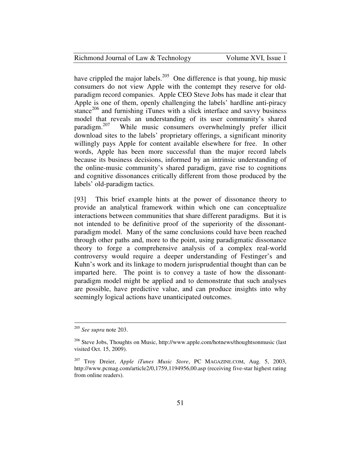#### Richmond Journal of Law & Technology Volume XVI, Issue 1

have crippled the major labels.<sup>205</sup> One difference is that young, hip music consumers do not view Apple with the contempt they reserve for oldparadigm record companies. Apple CEO Steve Jobs has made it clear that Apple is one of them, openly challenging the labels' hardline anti-piracy stance<sup>206</sup> and furnishing iTunes with a slick interface and savvy business model that reveals an understanding of its user community's shared paradigm.<sup>207</sup> While music consumers overwhelmingly prefer illicit download sites to the labels' proprietary offerings, a significant minority willingly pays Apple for content available elsewhere for free. In other words, Apple has been more successful than the major record labels because its business decisions, informed by an intrinsic understanding of the online-music community's shared paradigm, gave rise to cognitions and cognitive dissonances critically different from those produced by the labels' old-paradigm tactics.

[93] This brief example hints at the power of dissonance theory to provide an analytical framework within which one can conceptualize interactions between communities that share different paradigms. But it is not intended to be definitive proof of the superiority of the dissonantparadigm model. Many of the same conclusions could have been reached through other paths and, more to the point, using paradigmatic dissonance theory to forge a comprehensive analysis of a complex real-world controversy would require a deeper understanding of Festinger's and Kuhn's work and its linkage to modern jurisprudential thought than can be imparted here. The point is to convey a taste of how the dissonantparadigm model might be applied and to demonstrate that such analyses are possible, have predictive value, and can produce insights into why seemingly logical actions have unanticipated outcomes.

<sup>205</sup> *See supra* note 203.

<sup>206</sup> Steve Jobs, Thoughts on Music, http://www.apple.com/hotnews/thoughtsonmusic (last visited Oct. 15, 2009).

<sup>207</sup> Troy Dreier, *Apple iTunes Music Store*, PC MAGAZINE.COM, Aug. 5, 2003, http://www.pcmag.com/article2/0,1759,1194956,00.asp (receiving five-star highest rating from online readers).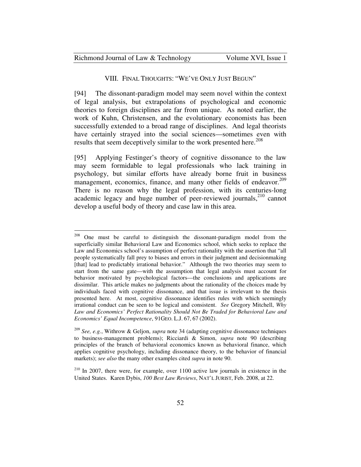| Richmond Journal of Law & Technology | Volume XVI, Issue 1 |
|--------------------------------------|---------------------|
|--------------------------------------|---------------------|

#### VIII. FINAL THOUGHTS: "WE'VE ONLY JUST BEGUN"

[94] The dissonant-paradigm model may seem novel within the context of legal analysis, but extrapolations of psychological and economic theories to foreign disciplines are far from unique. As noted earlier, the work of Kuhn, Christensen, and the evolutionary economists has been successfully extended to a broad range of disciplines. And legal theorists have certainly strayed into the social sciences—sometimes even with results that seem deceptively similar to the work presented here.<sup>208</sup>

[95] Applying Festinger's theory of cognitive dissonance to the law may seem formidable to legal professionals who lack training in psychology, but similar efforts have already borne fruit in business management, economics, finance, and many other fields of endeavor.<sup>209</sup> There is no reason why the legal profession, with its centuries-long academic legacy and huge number of peer-reviewed journals,<sup>210</sup> cannot develop a useful body of theory and case law in this area.

<sup>208</sup> <sup>208</sup> One must be careful to distinguish the dissonant-paradigm model from the superficially similar Behavioral Law and Economics school, which seeks to replace the Law and Economics school's assumption of perfect rationality with the assertion that "all people systematically fall prey to biases and errors in their judgment and decisionmaking [that] lead to predictably irrational behavior." Although the two theories may seem to start from the same gate—with the assumption that legal analysis must account for behavior motivated by psychological factors—the conclusions and applications are dissimilar. This article makes no judgments about the rationality of the choices made by individuals faced with cognitive dissonance, and that issue is irrelevant to the thesis presented here. At most, cognitive dissonance identifies rules with which seemingly irrational conduct can be seen to be logical and consistent. *See* Gregory Mitchell, *Why Law and Economics' Perfect Rationality Should Not Be Traded for Behavioral Law and Economics' Equal Incompetence*, 91GEO. L.J. 67, 67 (2002).

<sup>209</sup> *See, e.g.*, Withrow & Geljon, *supra* note 34 (adapting cognitive dissonance techniques to business-management problems); Ricciardi & Simon, *supra* note 90 (describing principles of the branch of behavioral economics known as behavioral finance, which applies cognitive psychology, including dissonance theory, to the behavior of financial markets); *see also* the many other examples cited *supra* in note 90.

 $210$  In 2007, there were, for example, over 1100 active law journals in existence in the United States. Karen Dybis, *100 Best Law Reviews*, NAT'L JURIST, Feb. 2008, at 22.